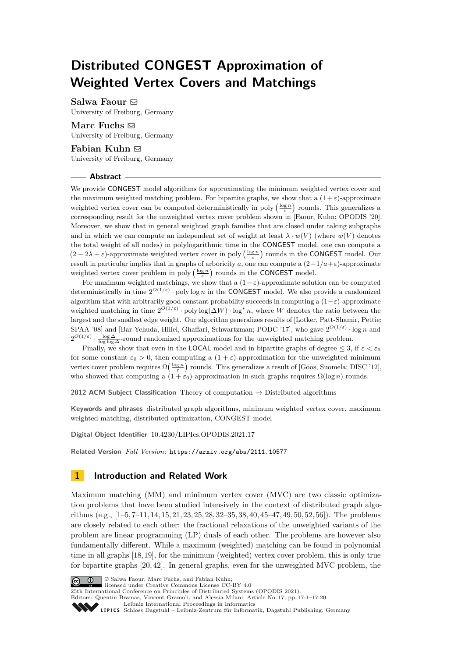# **Distributed CONGEST Approximation of Weighted Vertex Covers and Matchings**

**Salwa Faour** [!](mailto:salwa.faour@cs.uni-freiburg.de)

University of Freiburg, Germany

**Marc Fuchs** [!](mailto:marc.fuchs@cs.uni-freiburg.de) University of Freiburg, Germany

**Fabian Kuhn** [!](mailto:kuhn@cs.uni-freiburg.de)

University of Freiburg, Germany

## **Abstract**

We provide CONGEST model algorithms for approximating the minimum weighted vertex cover and the maximum weighted matching problem. For bipartite graphs, we show that a  $(1+\varepsilon)$ -approximate weighted vertex cover can be computed deterministically in poly  $\left(\frac{\log n}{\varepsilon}\right)$  rounds. This generalizes a corresponding result for the unweighted vertex cover problem shown in [Faour, Kuhn; OPODIS '20]. Moreover, we show that in general weighted graph families that are closed under taking subgraphs and in which we can compute an independent set of weight at least  $\lambda \cdot w(V)$  (where  $w(V)$ ) denotes the total weight of all nodes) in polylogarithmic time in the CONGEST model, one can compute a  $(2-2\lambda+\varepsilon)$ -approximate weighted vertex cover in poly  $\left(\frac{\log n}{\varepsilon}\right)$  rounds in the **CONGEST** model. Our result in particular implies that in graphs of arboricity *a*, one can compute a  $(2-1/a+\varepsilon)$ -approximate weighted vertex cover problem in poly  $\left(\frac{\log n}{\varepsilon}\right)$  rounds in the **CONGEST** model.

For maximum weighted matchings, we show that a  $(1-\varepsilon)$ -approximate solution can be computed deterministically in time 2 *O*(1*/ε*) · poly log *n* in the CONGEST model. We also provide a randomized algorithm that with arbitrarily good constant probability succeeds in computing a (1−*ε*)-approximate weighted matching in time  $2^{O(1/\varepsilon)} \cdot \text{poly}\log(\Delta W) \cdot \log^* n$ , where *W* denotes the ratio between the largest and the smallest edge weight. Our algorithm generalizes results of [Lotker, Patt-Shamir, Pettie; SPAA '08] and [Bar-Yehuda, Hillel, Ghaffari, Schwartzman; PODC '17], who gave 2 *O*(1*/ε*) · log *n* and  $2^{O(1/\varepsilon)} \cdot \frac{\log \Delta}{\log \log \Delta}$ -round randomized approximations for the unweighted matching problem.

Finally, we show that even in the **LOCAL** model and in bipartite graphs of degree  $\leq 3$ , if  $\varepsilon < \varepsilon_0$ for some constant  $\varepsilon_0 > 0$ , then computing a  $(1 + \varepsilon)$ -approximation for the unweighted minimum vertex cover problem requires  $\Omega\left(\frac{\log n}{\varepsilon}\right)$  rounds. This generalizes a result of [Göös, Suomela; DISC '12], who showed that computing a  $(1 + \varepsilon_0)$ -approximation in such graphs requires  $\Omega(\log n)$  rounds.

**2012 ACM Subject Classification** Theory of computation → Distributed algorithms

**Keywords and phrases** distributed graph algorithms, minimum weighted vertex cover, maximum weighted matching, distributed optimization, CONGEST model

**Digital Object Identifier** [10.4230/LIPIcs.OPODIS.2021.17](https://doi.org/10.4230/LIPIcs.OPODIS.2021.17)

**Related Version** *Full Version*: <https://arxiv.org/abs/2111.10577>

# **1 Introduction and Related Work**

Maximum matching (MM) and minimum vertex cover (MVC) are two classic optimization problems that have been studied intensively in the context of distributed graph algorithms (e.g., [\[1–](#page-16-0)[5,](#page-16-1) [7–](#page-16-2)[11,](#page-16-3) [14,](#page-16-4) [15,](#page-16-5) [21,](#page-16-6) [23,](#page-17-0) [25,](#page-17-1) [28,](#page-17-2) [32](#page-17-3)[–35,](#page-17-4) [38,](#page-17-5) [40,](#page-17-6) [45](#page-17-7)[–47,](#page-18-0) [49,](#page-18-1) [50,](#page-18-2) [52,](#page-18-3) [56\]](#page-18-4)). The problems are closely related to each other: the fractional relaxations of the unweighted variants of the problem are linear programming (LP) duals of each other. The problems are however also fundamentally different. While a maximum (weighted) matching can be found in polynomial time in all graphs [\[18,](#page-16-7) [19\]](#page-16-8), for the minimum (weighted) vertex cover problem, this is only true for bipartite graphs [\[20,](#page-16-9) [42\]](#page-17-8). In general graphs, even for the unweighted MVC problem, the



© Salwa Faour, Marc Fuchs, and Fabian Kuhn;

licensed under Creative Commons License CC-BY 4.0

25th International Conference on Principles of Distributed Systems (OPODIS 2021). Editors: Quentin Bramas, Vincent Gramoli, and Alessia Milani; Article No. 17; pp. 17:1–17:20

[Leibniz International Proceedings in Informatics](https://www.dagstuhl.de/lipics/)

SCHLOSS Dagstuhl – Leibniz-Zentrum für Informatik, Dagstuhl Publishing, Germany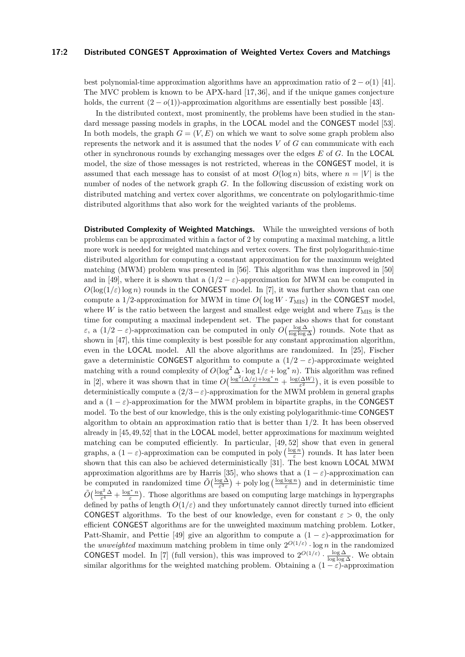#### **17:2 Distributed CONGEST Approximation of Weighted Vertex Covers and Matchings**

best polynomial-time approximation algorithms have an approximation ratio of  $2 - o(1)$  [\[41\]](#page-17-9). The MVC problem is known to be APX-hard [\[17,](#page-16-10) [36\]](#page-17-10), and if the unique games conjecture holds, the current  $(2 - o(1))$ -approximation algorithms are essentially best possible [\[43\]](#page-17-11).

In the distributed context, most prominently, the problems have been studied in the standard message passing models in graphs, in the LOCAL model and the CONGEST model [\[53\]](#page-18-5). In both models, the graph  $G = (V, E)$  on which we want to solve some graph problem also represents the network and it is assumed that the nodes *V* of *G* can communicate with each other in synchronous rounds by exchanging messages over the edges *E* of *G*. In the LOCAL model, the size of those messages is not restricted, whereas in the CONGEST model, it is assumed that each message has to consist of at most  $O(\log n)$  bits, where  $n = |V|$  is the number of nodes of the network graph *G*. In the following discussion of existing work on distributed matching and vertex cover algorithms, we concentrate on polylogarithmic-time distributed algorithms that also work for the weighted variants of the problems.

**Distributed Complexity of Weighted Matchings.** While the unweighted versions of both problems can be approximated within a factor of 2 by computing a maximal matching, a little more work is needed for weighted matchings and vertex covers. The first polylogarithmic-time distributed algorithm for computing a constant approximation for the maximum weighted matching (MWM) problem was presented in [\[56\]](#page-18-4). This algorithm was then improved in [\[50\]](#page-18-2) and in [\[49\]](#page-18-1), where it is shown that a  $(1/2 - \varepsilon)$ -approximation for MWM can be computed in  $O(\log(1/\varepsilon) \log n)$  rounds in the CONGEST model. In [\[7\]](#page-16-2), it was further shown that can one compute a 1/2-approximation for MWM in time  $O\left(\log W \cdot T_{\text{MIS}}\right)$  in the CONGEST model, where  $W$  is the ratio between the largest and smallest edge weight and where  $T_{\text{MIS}}$  is the time for computing a maximal independent set. The paper also shows that for constant *ε*, a  $(1/2 - \varepsilon)$ -approximation can be computed in only  $O(\frac{\log \Delta}{\log \log \Delta})$  rounds. Note that as shown in [\[47\]](#page-18-0), this time complexity is best possible for any constant approximation algorithm, even in the LOCAL model. All the above algorithms are randomized. In [\[25\]](#page-17-1), Fischer gave a deterministic CONGEST algorithm to compute a  $(1/2 - \varepsilon)$ -approximate weighted matching with a round complexity of  $O(\log^2 \Delta \cdot \log 1/\varepsilon + \log^* n)$ . This algorithm was refined in [\[2\]](#page-16-11), where it was shown that in time  $O\left(\frac{\log^2(\Delta/\varepsilon) + \log^* n}{\varepsilon} + \frac{\log(\Delta W)}{\varepsilon^2}\right)$  $(\frac{\Delta W}{\varepsilon^2})$ , it is even possible to deterministically compute a  $(2/3 - \varepsilon)$ -approximation for the MWM problem in general graphs and a  $(1 - \varepsilon)$ -approximation for the MWM problem in bipartite graphs, in the CONGEST model. To the best of our knowledge, this is the only existing polylogarithmic-time CONGEST algorithm to obtain an approximation ratio that is better than 1*/*2. It has been observed already in [\[45,](#page-17-7)[49,](#page-18-1)[52\]](#page-18-3) that in the LOCAL model, better approximations for maximum weighted matching can be computed efficiently. In particular, [\[49,](#page-18-1) [52\]](#page-18-3) show that even in general graphs, a  $(1 - \varepsilon)$ -approximation can be computed in poly  $\left(\frac{\log n}{\varepsilon}\right)$  rounds. It has later been shown that this can also be achieved deterministically [\[31\]](#page-17-12). The best known LOCAL MWM approximation algorithms are by Harris [\[35\]](#page-17-4), who shows that a  $(1 - \varepsilon)$ -approximation can be computed in randomized time  $\tilde{O}\left(\frac{\log \Delta}{\varepsilon^3}\right) + \text{poly}\log\left(\frac{\log \log n}{\varepsilon}\right)$  and in deterministic time  $\tilde{O}\left(\frac{\log^2 \Delta}{\varepsilon^4} + \frac{\log^* n}{\varepsilon}\right)$ . Those algorithms are based on computing large matchings in hypergraphs defined by paths of length  $O(1/\varepsilon)$  and they unfortunately cannot directly turned into efficient CONGEST algorithms. To the best of our knowledge, even for constant  $\varepsilon > 0$ , the only efficient CONGEST algorithms are for the unweighted maximum matching problem. Lotker, Patt-Shamir, and Pettie [\[49\]](#page-18-1) give an algorithm to compute a  $(1 - \varepsilon)$ -approximation for the *unweighted* maximum matching problem in time only  $2^{O(1/\varepsilon)} \cdot \log n$  in the randomized **CONGEST** model. In [\[7\]](#page-16-2) (full version), this was improved to  $2^{O(1/\varepsilon)} \cdot \frac{\log \Delta}{\log \log \Delta}$ . We obtain similar algorithms for the weighted matching problem. Obtaining a  $(1 - \varepsilon)$ -approximation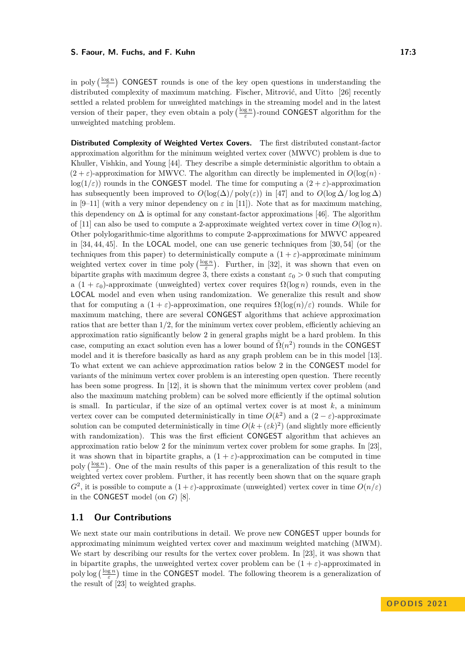#### **S. Faour, M. Fuchs, and F. Kuhn 17:3**

in poly  $\left(\frac{\log n}{\varepsilon}\right)$  CONGEST rounds is one of the key open questions in understanding the distributed complexity of maximum matching. Fischer, Mitrović, and Uitto [\[26\]](#page-17-13) recently settled a related problem for unweighted matchings in the streaming model and in the latest version of their paper, they even obtain a poly  $\left(\frac{\log n}{\varepsilon}\right)$ -round CONGEST algorithm for the unweighted matching problem.

**Distributed Complexity of Weighted Vertex Covers.** The first distributed constant-factor approximation algorithm for the minimum weighted vertex cover (MWVC) problem is due to Khuller, Vishkin, and Young [\[44\]](#page-17-14). They describe a simple deterministic algorithm to obtain a  $(2 + \varepsilon)$ -approximation for MWVC. The algorithm can directly be implemented in  $O(\log(n))$  $log(1/\varepsilon)$ ) rounds in the CONGEST model. The time for computing a  $(2 + \varepsilon)$ -approximation has subsequently been improved to  $O(\log(\Delta)/\text{poly}(\varepsilon))$  in [\[47\]](#page-18-0) and to  $O(\log \Delta/\log \log \Delta)$ in [\[9–](#page-16-12)[11\]](#page-16-3) (with a very minor dependency on  $\varepsilon$  in [\[11\]](#page-16-3)). Note that as for maximum matching, this dependency on  $\Delta$  is optimal for any constant-factor approximations [\[46\]](#page-18-6). The algorithm of [\[11\]](#page-16-3) can also be used to compute a 2-approximate weighted vertex cover in time  $O(\log n)$ . Other polylogarithmic-time algorithms to compute 2-approximations for MWVC appeared in [\[34,](#page-17-15) [44,](#page-17-14) [45\]](#page-17-7). In the LOCAL model, one can use generic techniques from [\[30,](#page-17-16) [54\]](#page-18-7) (or the techniques from this paper) to deterministically compute a  $(1 + \varepsilon)$ -approximate minimum weighted vertex cover in time poly  $\left(\frac{\log n}{\varepsilon}\right)$ . Further, in [\[32\]](#page-17-3), it was shown that even on bipartite graphs with maximum degree 3, there exists a constant  $\varepsilon_0 > 0$  such that computing a  $(1 + \varepsilon_0)$ -approximate (unweighted) vertex cover requires  $\Omega(\log n)$  rounds, even in the LOCAL model and even when using randomization. We generalize this result and show that for computing a  $(1 + \varepsilon)$ -approximation, one requires  $\Omega(\log(n)/\varepsilon)$  rounds. While for maximum matching, there are several CONGEST algorithms that achieve approximation ratios that are better than 1*/*2, for the minimum vertex cover problem, efficiently achieving an approximation ratio significantly below 2 in general graphs might be a hard problem. In this case, computing an exact solution even has a lower bound of  $\tilde{\Omega}(n^2)$  rounds in the CONGEST model and it is therefore basically as hard as any graph problem can be in this model [\[13\]](#page-16-13). To what extent we can achieve approximation ratios below 2 in the CONGEST model for variants of the minimum vertex cover problem is an interesting open question. There recently has been some progress. In [\[12\]](#page-16-14), it is shown that the minimum vertex cover problem (and also the maximum matching problem) can be solved more efficiently if the optimal solution is small. In particular, if the size of an optimal vertex cover is at most  $k$ , a minimum vertex cover can be computed deterministically in time  $O(k^2)$  and a  $(2 - \varepsilon)$ -approximate solution can be computed deterministically in time  $O(k+(\varepsilon k)^2)$  (and slightly more efficiently with randomization). This was the first efficient CONGEST algorithm that achieves an approximation ratio below 2 for the minimum vertex cover problem for some graphs. In [\[23\]](#page-17-0), it was shown that in bipartite graphs, a  $(1 + \varepsilon)$ -approximation can be computed in time poly  $\left(\frac{\log n}{\varepsilon}\right)$ . One of the main results of this paper is a generalization of this result to the weighted vertex cover problem. Further, it has recently been shown that on the square graph  $G^2$ , it is possible to compute a  $(1+\varepsilon)$ -approximate (unweighted) vertex cover in time  $O(n/\varepsilon)$ in the CONGEST model (on *G*) [\[8\]](#page-16-15).

# **1.1 Our Contributions**

<span id="page-2-0"></span>We next state our main contributions in detail. We prove new CONGEST upper bounds for approximating minimum weighted vertex cover and maximum weighted matching (MWM). We start by describing our results for the vertex cover problem. In [\[23\]](#page-17-0), it was shown that in bipartite graphs, the unweighted vertex cover problem can be  $(1 + \varepsilon)$ -approximated in poly  $\log\left(\frac{\log n}{\varepsilon}\right)$  time in the CONGEST model. The following theorem is a generalization of the result of [\[23\]](#page-17-0) to weighted graphs.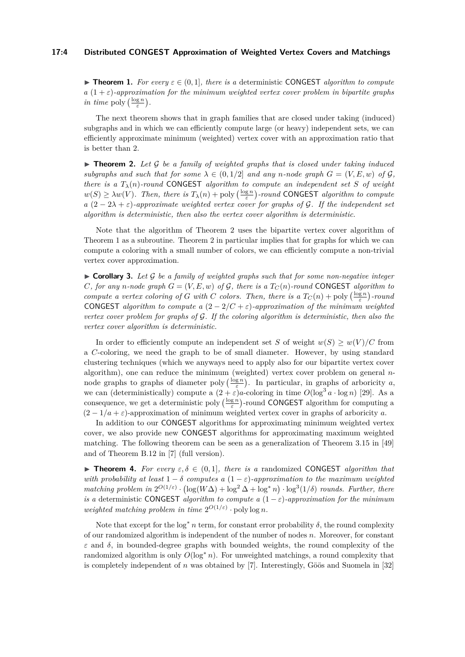#### **17:4 Distributed CONGEST Approximation of Weighted Vertex Covers and Matchings**

**► Theorem 1.** For every  $\varepsilon \in (0,1]$ , there is a deterministic CONGEST *algorithm to compute*  $a(1+\varepsilon)$ -approximation for the minimum weighted vertex cover problem in bipartite graphs *in time* poly  $\left(\frac{\log n}{\varepsilon}\right)$ .

The next theorem shows that in graph families that are closed under taking (induced) subgraphs and in which we can efficiently compute large (or heavy) independent sets, we can efficiently approximate minimum (weighted) vertex cover with an approximation ratio that is better than 2.

<span id="page-3-0"></span>▶ **Theorem 2.** *Let* G *be a family of weighted graphs that is closed under taking induced subgraphs and such that for some*  $\lambda \in (0, 1/2]$  *and any n*-node graph  $G = (V, E, w)$  of  $\mathcal{G},$ *there is a*  $T_{\lambda}(n)$ *-round* CONGEST *algorithm to compute an independent set S of weight*  $w(S) \ge \lambda w(V)$ *. Then, there is*  $T_{\lambda}(n) + \text{poly}\left(\frac{\log n}{\varepsilon}\right)$ -round CONGEST *algorithm to compute a*  $(2 - 2\lambda + \varepsilon)$ -approximate weighted vertex cover for graphs of G. If the independent set *algorithm is deterministic, then also the vertex cover algorithm is deterministic.*

Note that the algorithm of Theorem [2](#page-3-0) uses the bipartite vertex cover algorithm of Theorem [1](#page-2-0) as a subroutine. Theorem [2](#page-3-0) in particular implies that for graphs for which we can compute a coloring with a small number of colors, we can efficiently compute a non-trivial vertex cover approximation.

<span id="page-3-1"></span> $\triangleright$  **Corollary 3.** Let  $\mathcal{G}$  be a family of weighted graphs such that for some non-negative integer *C, for any n*-node graph  $G = (V, E, w)$  of G, there is a  $T_C(n)$ -round CONGEST algorithm to *compute a vertex coloring of <i>G* with *C* colors. Then, there is a  $T_C(n) + \text{poly}\left(\frac{\log n}{\varepsilon}\right)$ -round CONGEST *algorithm to compute a*  $(2 - 2/C + \varepsilon)$ *-approximation of the minimum weighted vertex cover problem for graphs of* G*. If the coloring algorithm is deterministic, then also the vertex cover algorithm is deterministic.*

In order to efficiently compute an independent set *S* of weight  $w(S) \geq w(V)/C$  from a *C*-coloring, we need the graph to be of small diameter. However, by using standard clustering techniques (which we anyways need to apply also for our bipartite vertex cover algorithm), one can reduce the minimum (weighted) vertex cover problem on general *n*node graphs to graphs of diameter poly  $\left(\frac{\log n}{\varepsilon}\right)$ . In particular, in graphs of arboricity *a*, we can (deterministically) compute a  $(2 + \varepsilon)a$ -coloring in time  $O(\log^3 a \cdot \log n)$  [\[29\]](#page-17-17). As a consequence, we get a deterministic poly  $\left(\frac{\log n}{\varepsilon}\right)$ -round CONGEST algorithm for computing a  $(2 - 1/a + \varepsilon)$ -approximation of minimum weighted vertex cover in graphs of arboricity *a*.

In addition to our CONGEST algorithms for approximating minimum weighted vertex cover, we also provide new CONGEST algorithms for approximating maximum weighted matching. The following theorem can be seen as a generalization of Theorem 3.15 in [\[49\]](#page-18-1) and of Theorem B.12 in [\[7\]](#page-16-2) (full version).

**Figure 1.** For every  $\varepsilon, \delta \in (0,1]$ *, there is a* randomized CONGEST *algorithm that with probability at least*  $1 - \delta$  *computes a*  $(1 - \varepsilon)$ *-approximation to the maximum weighted matching problem in*  $2^{O(1/\varepsilon)} \cdot (\log(W\Delta) + \log^2 \Delta + \log^* n) \cdot \log^3(1/\delta)$  *rounds. Further, there is a* deterministic CONGEST *algorithm to compute a*  $(1 - \varepsilon)$ -*approximation for the minimum weighted matching problem in time*  $2^{O(1/\varepsilon)} \cdot \text{poly}\log n$ .

Note that except for the  $log^* n$  term, for constant error probability  $\delta$ , the round complexity of our randomized algorithm is independent of the number of nodes *n*. Moreover, for constant *ε* and *δ*, in bounded-degree graphs with bounded weights, the round complexity of the randomized algorithm is only  $O(\log^* n)$ . For unweighted matchings, a round complexity that is completely independent of *n* was obtained by [\[7\]](#page-16-2). Interestingly, Göös and Suomela in [\[32\]](#page-17-3)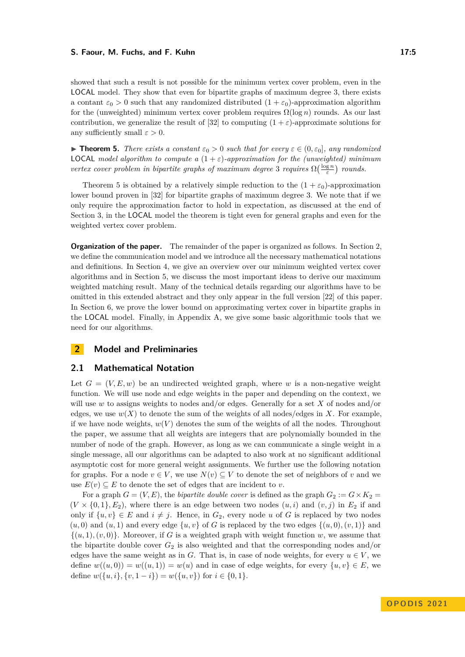#### **S. Faour, M. Fuchs, and F. Kuhn 17:5 17:5 17:5**

showed that such a result is not possible for the minimum vertex cover problem, even in the LOCAL model. They show that even for bipartite graphs of maximum degree 3, there exists a contant  $\varepsilon_0 > 0$  such that any randomized distributed  $(1 + \varepsilon_0)$ -approximation algorithm for the (unweighted) minimum vertex cover problem requires  $\Omega(\log n)$  rounds. As our last contribution, we generalize the result of [\[32\]](#page-17-3) to computing  $(1 + \varepsilon)$ -approximate solutions for any sufficiently small  $\varepsilon > 0$ .

<span id="page-4-0"></span>**• Theorem 5.** *There exists a constant*  $\varepsilon_0 > 0$  *such that for every*  $\varepsilon \in (0, \varepsilon_0]$ *, any randomized* **LOCAL** model algorithm to compute a  $(1+\varepsilon)$ -approximation for the (unweighted) minimum *vertex cover problem in bipartite graphs of maximum degree* 3 *requires*  $\Omega(\frac{\log n}{\varepsilon})$  *rounds.* 

Theorem [5](#page-4-0) is obtained by a relatively simple reduction to the  $(1 + \varepsilon_0)$ -approximation lower bound proven in [\[32\]](#page-17-3) for bipartite graphs of maximum degree 3. We note that if we only require the approximation factor to hold in expectation, as discussed at the end of Section [3,](#page-6-0) in the LOCAL model the theorem is tight even for general graphs and even for the weighted vertex cover problem.

**Organization of the paper.** The remainder of the paper is organized as follows. In Section [2,](#page-4-1) we define the communication model and we introduce all the necessary mathematical notations and definitions. In Section [4,](#page-7-0) we give an overview over our minimum weighted vertex cover algorithms and in Section [5,](#page-12-0) we discuss the most important ideas to derive our maximum weighted matching result. Many of the technical details regarding our algorithms have to be omitted in this extended abstract and they only appear in the full version [\[22\]](#page-17-18) of this paper. In Section [6,](#page-14-0) we prove the lower bound on approximating vertex cover in bipartite graphs in the LOCAL model. Finally, in Appendix [A,](#page-18-8) we give some basic algorithmic tools that we need for our algorithms.

# <span id="page-4-1"></span>**2 Model and Preliminaries**

## **2.1 Mathematical Notation**

Let  $G = (V, E, w)$  be an undirected weighted graph, where *w* is a non-negative weight function. We will use node and edge weights in the paper and depending on the context, we will use *w* to assigns weights to nodes and/or edges. Generally for a set *X* of nodes and/or edges, we use  $w(X)$  to denote the sum of the weights of all nodes/edges in X. For example, if we have node weights,  $w(V)$  denotes the sum of the weights of all the nodes. Throughout the paper, we assume that all weights are integers that are polynomially bounded in the number of node of the graph. However, as long as we can communicate a single weight in a single message, all our algorithms can be adapted to also work at no significant additional asymptotic cost for more general weight assignments. We further use the following notation for graphs. For a node  $v \in V$ , we use  $N(v) \subseteq V$  to denote the set of neighbors of v and we use  $E(v) \subseteq E$  to denote the set of edges that are incident to *v*.

For a graph  $G = (V, E)$ , the *bipartite double cover* is defined as the graph  $G_2 := G \times K_2$  $(V \times \{0, 1\}, E_2)$ , where there is an edge between two nodes  $(u, i)$  and  $(v, j)$  in  $E_2$  if and only if  $\{u, v\}$  ∈ *E* and  $i \neq j$ . Hence, in  $G_2$ , every node *u* of *G* is replaced by two nodes  $(u, 0)$  and  $(u, 1)$  and every edge  $\{u, v\}$  of *G* is replaced by the two edges  $\{(u, 0), (v, 1)\}$  and  $\{(u, 1), (v, 0)\}\.$  Moreover, if G is a weighted graph with weight function w, we assume that the bipartite double cover  $G_2$  is also weighted and that the corresponding nodes and/or edges have the same weight as in *G*. That is, in case of node weights, for every  $u \in V$ , we define  $w((u, 0)) = w((u, 1)) = w(u)$  and in case of edge weights, for every  $\{u, v\} \in E$ , we define  $w({u, i}, \{v, 1 - i\}) = w({u, v})$  for  $i \in \{0, 1\}$ .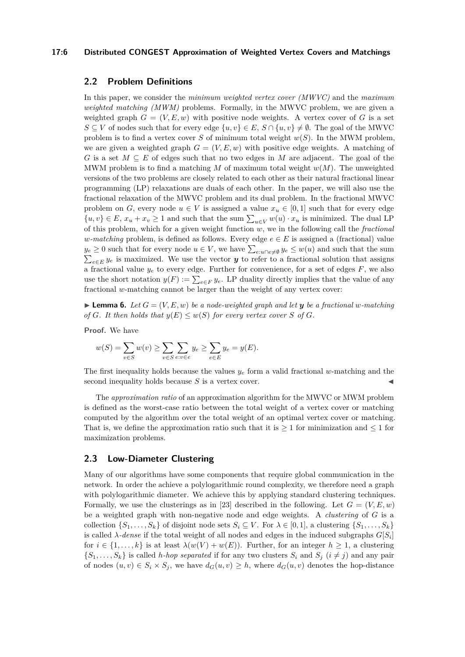#### **17:6 Distributed CONGEST Approximation of Weighted Vertex Covers and Matchings**

# **2.2 Problem Definitions**

In this paper, we consider the *minimum weighted vertex cover (MWVC)* and the *maximum weighted matching (MWM)* problems. Formally, in the MWVC problem, we are given a weighted graph  $G = (V, E, w)$  with positive node weights. A vertex cover of G is a set *S* ⊆ *V* of nodes such that for every edge  $\{u, v\}$  ∈ *E*, *S* ∩  $\{u, v\}$  ≠ Ø. The goal of the MWVC problem is to find a vertex cover *S* of minimum total weight  $w(S)$ . In the MWM problem, we are given a weighted graph  $G = (V, E, w)$  with positive edge weights. A matching of *G* is a set *M* ⊆ *E* of edges such that no two edges in *M* are adjacent. The goal of the MWM problem is to find a matching M of maximum total weight  $w(M)$ . The unweighted versions of the two problems are closely related to each other as their natural fractional linear programming (LP) relaxations are duals of each other. In the paper, we will also use the fractional relaxation of the MWVC problem and its dual problem. In the fractional MWVC problem on *G*, every node  $u \in V$  is assigned a value  $x_u \in [0,1]$  such that for every edge  ${u, v} \in E$ ,  $x_u + x_v \ge 1$  and such that the sum  $\sum_{u \in V} w(u) \cdot x_u$  is minimized. The dual LP of this problem, which for a given weight function *w*, we in the following call the *fractional w*-matching problem, is defined as follows. Every edge  $e \in E$  is assigned a (fractional) value  $y_e \geq 0$  such that for every node  $u \in V$ , we have  $\sum_{e: u \cap e \neq \emptyset} y_e \leq w(u)$  and such that the sum  $\sum_{e \in E} y_e$  is maximized. We use the vector *y* to refer to a fractional solution that assigns a fractional value  $y_e$  to every edge. Further for convenience, for a set of edges  $F$ , we also use the short notation  $y(F) := \sum_{e \in F} y_e$ . LP duality directly implies that the value of any fractional *w*-matching cannot be larger than the weight of any vertex cover:

<span id="page-5-1"></span> $\blacktriangleright$  **Lemma 6.** Let  $G = (V, E, w)$  be a node-weighted graph and let **y** be a fractional w-matching *of G. It then holds that*  $y(E) \leq w(S)$  *for every vertex cover S of G.* 

**Proof.** We have

$$
w(S) = \sum_{v \in S} w(v) \ge \sum_{v \in S} \sum_{e:v \in e} y_e \ge \sum_{e \in E} y_e = y(E).
$$

The first inequality holds because the values  $y_e$  form a valid fractional w-matching and the second inequality holds because  $S$  is a vertex cover.

The *approximation ratio* of an approximation algorithm for the MWVC or MWM problem is defined as the worst-case ratio between the total weight of a vertex cover or matching computed by the algorithm over the total weight of an optimal vertex cover or matching. That is, we define the approximation ratio such that it is  $> 1$  for minimization and  $\leq 1$  for maximization problems.

## <span id="page-5-0"></span>**2.3 Low-Diameter Clustering**

Many of our algorithms have some components that require global communication in the network. In order the achieve a polylogarithmic round complexity, we therefore need a graph with polylogarithmic diameter. We achieve this by applying standard clustering techniques. Formally, we use the clusterings as in [\[23\]](#page-17-0) described in the following. Let  $G = (V, E, w)$ be a weighted graph with non-negative node and edge weights. A *clustering* of *G* is a collection  $\{S_1, \ldots, S_k\}$  of disjoint node sets  $S_i \subseteq V$ . For  $\lambda \in [0, 1]$ , a clustering  $\{S_1, \ldots, S_k\}$ is called  $\lambda$ *-dense* if the total weight of all nodes and edges in the induced subgraphs  $G[S_i]$ for  $i \in \{1, \ldots, k\}$  is at least  $\lambda(w(V) + w(E))$ . Further, for an integer  $h \geq 1$ , a clustering  $\{S_1, \ldots, S_k\}$  is called *h-hop separated* if for any two clusters  $S_i$  and  $S_j$  ( $i \neq j$ ) and any pair of nodes  $(u, v) \in S_i \times S_j$ , we have  $d_G(u, v) \geq h$ , where  $d_G(u, v)$  denotes the hop-distance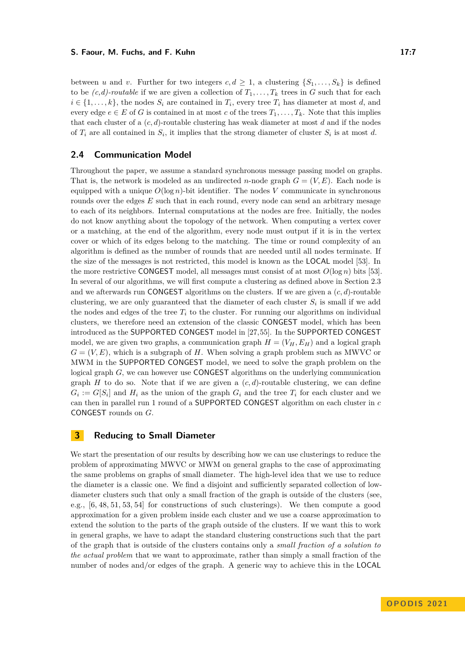#### **S. Faour, M. Fuchs, and F. Kuhn 17:7 17:7 17:7**

between *u* and *v*. Further for two integers  $c, d \geq 1$ , a clustering  $\{S_1, \ldots, S_k\}$  is defined to be  $(c,d)$ -routable if we are given a collection of  $T_1, \ldots, T_k$  trees in G such that for each  $i \in \{1, \ldots, k\}$ , the nodes  $S_i$  are contained in  $T_i$ , every tree  $T_i$  has diameter at most *d*, and every edge  $e \in E$  of *G* is contained in at most *c* of the trees  $T_1, \ldots, T_k$ . Note that this implies that each cluster of a (*c, d*)-routable clustering has weak diameter at most *d* and if the nodes of  $T_i$  are all contained in  $S_i$ , it implies that the strong diameter of cluster  $S_i$  is at most *d*.

# **2.4 Communication Model**

Throughout the paper, we assume a standard synchronous message passing model on graphs. That is, the network is modeled as an undirected *n*-node graph  $G = (V, E)$ . Each node is equipped with a unique  $O(\log n)$ -bit identifier. The nodes *V* communicate in synchronous rounds over the edges E such that in each round, every node can send an arbitrary mesage to each of its neighbors. Internal computations at the nodes are free. Initially, the nodes do not know anything about the topology of the network. When computing a vertex cover or a matching, at the end of the algorithm, every node must output if it is in the vertex cover or which of its edges belong to the matching. The time or round complexity of an algorithm is defined as the number of rounds that are needed until all nodes terminate. If the size of the messages is not restricted, this model is known as the LOCAL model [\[53\]](#page-18-5). In the more restrictive CONGEST model, all messages must consist of at most  $O(\log n)$  bits [\[53\]](#page-18-5). In several of our algorithms, we will first compute a clustering as defined above in Section [2.3](#page-5-0) and we afterwards run CONGEST algorithms on the clusters. If we are given a  $(c, d)$ -routable clustering, we are only guaranteed that the diameter of each cluster  $S_i$  is small if we add the nodes and edges of the tree  $T_i$  to the cluster. For running our algorithms on individual clusters, we therefore need an extension of the classic CONGEST model, which has been introduced as the SUPPORTED CONGEST model in [\[27,](#page-17-19)[55\]](#page-18-9). In the SUPPORTED CONGEST model, we are given two graphs, a communication graph  $H = (V_H, E_H)$  and a logical graph  $G = (V, E)$ , which is a subgraph of *H*. When solving a graph problem such as MWVC or MWM in the SUPPORTED CONGEST model, we need to solve the graph problem on the logical graph *G*, we can however use **CONGEST** algorithms on the underlying communication graph  $H$  to do so. Note that if we are given a  $(c, d)$ -routable clustering, we can define  $G_i := G[S_i]$  and  $H_i$  as the union of the graph  $G_i$  and the tree  $T_i$  for each cluster and we can then in parallel run 1 round of a SUPPORTED CONGEST algorithm on each cluster in *c* CONGEST rounds on *G*.

# <span id="page-6-0"></span>**3 Reducing to Small Diameter**

We start the presentation of our results by describing how we can use clusterings to reduce the problem of approximating MWVC or MWM on general graphs to the case of approximating the same problems on graphs of small diameter. The high-level idea that we use to reduce the diameter is a classic one. We find a disjoint and sufficiently separated collection of lowdiameter clusters such that only a small fraction of the graph is outside of the clusters (see, e.g., [\[6,](#page-16-16) [48,](#page-18-10) [51,](#page-18-11) [53,](#page-18-5) [54\]](#page-18-7) for constructions of such clusterings). We then compute a good approximation for a given problem inside each cluster and we use a coarse approximation to extend the solution to the parts of the graph outside of the clusters. If we want this to work in general graphs, we have to adapt the standard clustering constructions such that the part of the graph that is outside of the clusters contains only a *small fraction of a solution to the actual problem* that we want to approximate, rather than simply a small fraction of the number of nodes and/or edges of the graph. A generic way to achieve this in the LOCAL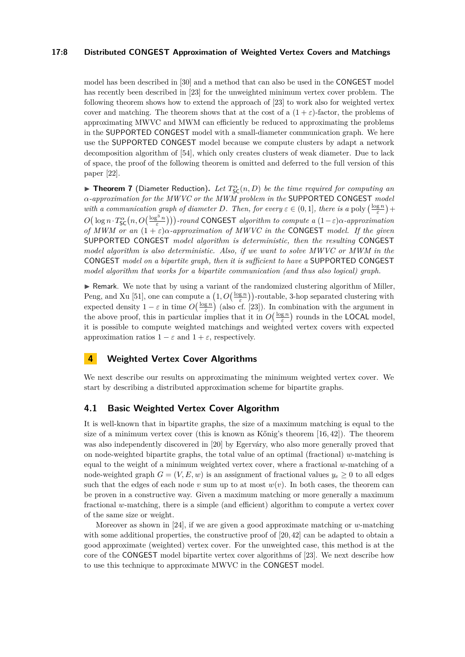#### **17:8 Distributed CONGEST Approximation of Weighted Vertex Covers and Matchings**

model has been described in [\[30\]](#page-17-16) and a method that can also be used in the CONGEST model has recently been described in [\[23\]](#page-17-0) for the unweighted minimum vertex cover problem. The following theorem shows how to extend the approach of [\[23\]](#page-17-0) to work also for weighted vertex cover and matching. The theorem shows that at the cost of a  $(1 + \varepsilon)$ -factor, the problems of approximating MWVC and MWM can efficiently be reduced to approximating the problems in the SUPPORTED CONGEST model with a small-diameter communication graph. We here use the SUPPORTED CONGEST model because we compute clusters by adapt a network decomposition algorithm of [\[54\]](#page-18-7), which only creates clusters of weak diameter. Due to lack of space, the proof of the following theorem is omitted and deferred to the full version of this paper [\[22\]](#page-17-18).

<span id="page-7-2"></span>▶ **Theorem 7** (Diameter Reduction). Let  $T_{SC}^{\alpha}(n, D)$  be the time required for computing an *α-approximation for the MWVC or the MWM problem in the* SUPPORTED CONGEST *model with a communication graph of diameter D. Then, for every*  $\varepsilon \in (0,1]$ *, there is a* poly  $\left(\frac{\log n}{\varepsilon}\right)$  +  $O(\log n \cdot T_S^{\alpha}(n, O(\frac{\log^3 n}{\varepsilon})))$ -round CONGEST *algorithm to compute a*  $(1-\varepsilon)\alpha$ -approximation *of MWM or an*  $(1 + \varepsilon)\alpha$ *-approximation of MWVC in the* CONGEST *model. If the given* SUPPORTED CONGEST *model algorithm is deterministic, then the resulting* CONGEST *model algorithm is also deterministic. Also, if we want to solve MWVC or MWM in the* CONGEST *model on a bipartite graph, then it is sufficient to have a* SUPPORTED CONGEST *model algorithm that works for a bipartite communication (and thus also logical) graph.*

 $\triangleright$  Remark. We note that by using a variant of the randomized clustering algorithm of Miller, Peng, and Xu [\[51\]](#page-18-11), one can compute a  $(1, O(\frac{\log n}{\varepsilon}))$ -routable, 3-hop separated clustering with expected density  $1 - \varepsilon$  in time  $O(\frac{\log n}{\varepsilon})$  (also cf. [\[23\]](#page-17-0)). In combination with the argument in the above proof, this in particular implies that it in  $O(\frac{\log n}{\varepsilon})$  rounds in the **LOCAL** model, it is possible to compute weighted matchings and weighted vertex covers with expected approximation ratios  $1 - \varepsilon$  and  $1 + \varepsilon$ , respectively.

# <span id="page-7-0"></span>**4 Weighted Vertex Cover Algorithms**

We next describe our results on approximating the minimum weighted vertex cover. We start by describing a distributed approximation scheme for bipartite graphs.

# <span id="page-7-1"></span>**4.1 Basic Weighted Vertex Cover Algorithm**

It is well-known that in bipartite graphs, the size of a maximum matching is equal to the size of a minimum vertex cover (this is known as Kőnig's theorem  $[16, 42]$  $[16, 42]$ ). The theorem was also independently discovered in [\[20\]](#page-16-9) by Egerváry, who also more generally proved that on node-weighted bipartite graphs, the total value of an optimal (fractional) *w*-matching is equal to the weight of a minimum weighted vertex cover, where a fractional *w*-matching of a node-weighted graph  $G = (V, E, w)$  is an assignment of fractional values  $y_e \ge 0$  to all edges such that the edges of each node  $v$  sum up to at most  $w(v)$ . In both cases, the theorem can be proven in a constructive way. Given a maximum matching or more generally a maximum fractional *w*-matching, there is a simple (and efficient) algorithm to compute a vertex cover of the same size or weight.

Moreover as shown in [\[24\]](#page-17-20), if we are given a good approximate matching or *w*-matching with some additional properties, the constructive proof of  $[20, 42]$  $[20, 42]$  can be adapted to obtain a good approximate (weighted) vertex cover. For the unweighted case, this method is at the core of the CONGEST model bipartite vertex cover algorithms of [\[23\]](#page-17-0). We next describe how to use this technique to approximate MWVC in the CONGEST model.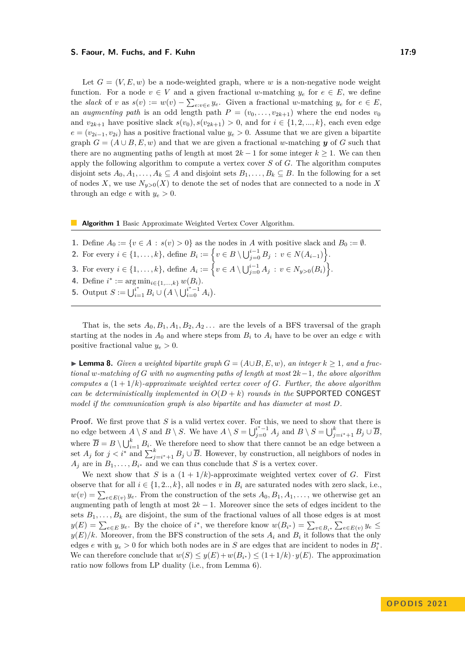#### **S. Faour, M. Fuchs, and F. Kuhn 17:9**

Let  $G = (V, E, w)$  be a node-weighted graph, where w is a non-negative node weight function. For a node  $v \in V$  and a given fractional *w*-matching  $y_e$  for  $e \in E$ , we define the *slack* of *v* as  $s(v) := w(v) - \sum_{e:v \in e} y_e$ . Given a fractional *w*-matching  $y_e$  for  $e \in E$ , an *augmenting path* is an odd length path  $P = (v_0, \ldots, v_{2k+1})$  where the end nodes  $v_0$ and  $v_{2k+1}$  have positive slack  $s(v_0), s(v_{2k+1}) > 0$ , and for  $i \in \{1, 2, ..., k\}$ , each even edge  $e = (v_{2i-1}, v_{2i})$  has a positive fractional value  $y_e > 0$ . Assume that we are given a bipartite graph  $G = (A \cup B, E, w)$  and that we are given a fractional *w*-matching *y* of *G* such that there are no augmenting paths of length at most  $2k - 1$  for some integer  $k \geq 1$ . We can then apply the following algorithm to compute a vertex cover *S* of *G*. The algorithm computes disjoint sets  $A_0, A_1, \ldots, A_k \subseteq A$  and disjoint sets  $B_1, \ldots, B_k \subseteq B$ . In the following for a set of nodes X, we use  $N_{y>0}(X)$  to denote the set of nodes that are connected to a node in X through an edge *e* with  $y_e > 0$ .

**Algorithm 1** Basic Approximate Weighted Vertex Cover Algorithm.

**1.** Define  $A_0 := \{v \in A : s(v) > 0\}$  as the nodes in *A* with positive slack and  $B_0 := \emptyset$ . 2. For every  $i \in \{1, ..., k\}$ , define  $B_i := \left\{v \in B \setminus \bigcup_{j=0}^{i-1} B_j : v \in N(A_{i-1})\right\}$ . **3.** For every  $i \in \{1, ..., k\}$ , define  $A_i := \left\{ v \in A \setminus \bigcup_{j=0}^{i-1} A_j : v \in N_{y>0}(B_i) \right\}$ . **4.** Define  $i^* := \arg \min_{i \in \{1, ..., k\}} w(B_i)$ . **5.** Output  $S := \bigcup_{i=1}^{i^*} B_i \cup (A \setminus \bigcup_{i=0}^{i^*-1} A_i).$ 

That is, the sets  $A_0, B_1, A_1, B_2, A_2, \ldots$  are the levels of a BFS traversal of the graph starting at the nodes in  $A_0$  and where steps from  $B_i$  to  $A_i$  have to be over an edge  $e$  with positive fractional value  $y_e > 0$ .

<span id="page-8-0"></span>▶ **Lemma 8.** *Given a weighted bipartite graph*  $G = (A \cup B, E, w)$ , an integer  $k \geq 1$ , and a frac*tional w-matching of G with no augmenting paths of length at most* 2*k*−1*, the above algorithm computes a*  $(1+1/k)$ *-approximate weighted vertex cover of G. Further, the above algorithm can be deterministically implemented in*  $O(D + k)$  *rounds in the* SUPPORTED CONGEST *model if the communication graph is also bipartite and has diameter at most D.*

**Proof.** We first prove that *S* is a valid vertex cover. For this, we need to show that there is no edge between  $A \setminus S$  and  $B \setminus S$ . We have  $A \setminus S = \bigcup_{j=0}^{i^*-1} A_j$  and  $B \setminus S = \bigcup_{j=i^*+1}^k B_j \cup \overline{B}$ , where  $\overline{B} = B \setminus \bigcup_{i=1}^k B_i$ . We therefore need to show that there cannot be an edge between a set  $A_j$  for  $j < i^*$  and  $\sum_{j=i^*+1}^k B_j \cup \overline{B}$ . However, by construction, all neighbors of nodes in  $A_j$  are in  $B_1, \ldots, B_{i^*}$  and we can thus conclude that *S* is a vertex cover.

We next show that *S* is a  $(1 + 1/k)$ -approximate weighted vertex cover of *G*. First observe that for all  $i \in \{1, 2, \ldots, k\}$ , all nodes *v* in  $B_i$  are saturated nodes with zero slack, i.e.,  $w(v) = \sum_{e \in E(v)} y_e$ . From the construction of the sets  $A_0, B_1, A_1, \ldots$ , we otherwise get an augmenting path of length at most  $2k - 1$ . Moreover since the sets of edges incident to the sets  $B_1, \ldots, B_k$  are disjoint, the sum of the fractional values of all those edges is at most  $y(E) = \sum_{e \in E} y_e$ . By the choice of *i*<sup>\*</sup>, we therefore know  $w(B_{i^*}) = \sum_{v \in B_{i^*}} \sum_{e \in E(v)} y_e \le$  $y(E)/k$ . Moreover, from the BFS construction of the sets  $A_i$  and  $B_i$  it follows that the only edges *e* with  $y_e > 0$  for which both nodes are in *S* are edges that are incident to nodes in  $B_i^*$ . We can therefore conclude that  $w(S) \leq y(E) + w(B_{i^*}) \leq (1+1/k) \cdot y(E)$ . The approximation ratio now follows from LP duality (i.e., from Lemma [6\)](#page-5-1).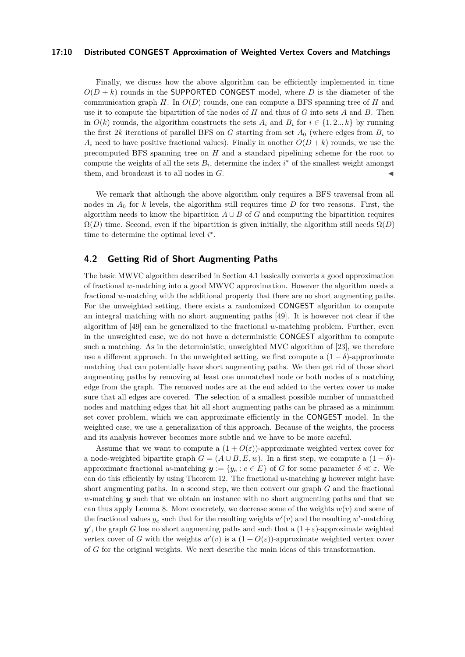#### **17:10 Distributed CONGEST Approximation of Weighted Vertex Covers and Matchings**

Finally, we discuss how the above algorithm can be efficiently implemented in time  $O(D + k)$  rounds in the SUPPORTED CONGEST model, where *D* is the diameter of the communication graph *H*. In *O*(*D*) rounds, one can compute a BFS spanning tree of *H* and use it to compute the bipartition of the nodes of *H* and thus of *G* into sets *A* and *B*. Then in  $O(k)$  rounds, the algorithm constructs the sets  $A_i$  and  $B_i$  for  $i \in \{1, 2, \ldots, k\}$  by running the first 2*k* iterations of parallel BFS on *G* starting from set  $A_0$  (where edges from  $B_i$  to  $A_i$  need to have positive fractional values). Finally in another  $O(D + k)$  rounds, we use the precomputed BFS spanning tree on *H* and a standard pipelining scheme for the root to compute the weights of all the sets  $B_i$ , determine the index  $i^*$  of the smallest weight amongst them, and broadcast it to all nodes in  $G$ .

We remark that although the above algorithm only requires a BFS traversal from all nodes in  $A_0$  for *k* levels, the algorithm still requires time *D* for two reasons. First, the algorithm needs to know the bipartition  $A \cup B$  of *G* and computing the bipartition requires  $\Omega(D)$  time. Second, even if the bipartition is given initially, the algorithm still needs  $\Omega(D)$ time to determine the optimal level *i* ∗ .

# **4.2 Getting Rid of Short Augmenting Paths**

The basic MWVC algorithm described in Section [4.1](#page-7-1) basically converts a good approximation of fractional *w*-matching into a good MWVC approximation. However the algorithm needs a fractional *w*-matching with the additional property that there are no short augmenting paths. For the unweighted setting, there exists a randomized CONGEST algorithm to compute an integral matching with no short augmenting paths [\[49\]](#page-18-1). It is however not clear if the algorithm of [\[49\]](#page-18-1) can be generalized to the fractional *w*-matching problem. Further, even in the unweighted case, we do not have a deterministic CONGEST algorithm to compute such a matching. As in the deterministic, unweighted MVC algorithm of [\[23\]](#page-17-0), we therefore use a different approach. In the unweighted setting, we first compute a  $(1 - \delta)$ -approximate matching that can potentially have short augmenting paths. We then get rid of those short augmenting paths by removing at least one unmatched node or both nodes of a matching edge from the graph. The removed nodes are at the end added to the vertex cover to make sure that all edges are covered. The selection of a smallest possible number of unmatched nodes and matching edges that hit all short augmenting paths can be phrased as a minimum set cover problem, which we can approximate efficiently in the CONGEST model. In the weighted case, we use a generalization of this approach. Because of the weights, the process and its analysis however becomes more subtle and we have to be more careful.

Assume that we want to compute a  $(1 + O(\varepsilon))$ -approximate weighted vertex cover for a node-weighted bipartite graph  $G = (A \cup B, E, w)$ . In a first step, we compute a  $(1 - \delta)$ approximate fractional *w*-matching  $y := \{y_e : e \in E\}$  of *G* for some parameter  $\delta \ll \varepsilon$ . We can do this efficiently by using Theorem [12.](#page-18-12) The fractional *w*-matching *y* however might have short augmenting paths. In a second step, we then convert our graph *G* and the fractional *w*-matching *y* such that we obtain an instance with no short augmenting paths and that we can thus apply Lemma [8.](#page-8-0) More concretely, we decrease some of the weights  $w(v)$  and some of the fractional values  $y_e$  such that for the resulting weights  $w'(v)$  and the resulting  $w'$ -matching  $y'$ , the graph *G* has no short augmenting paths and such that a  $(1+\varepsilon)$ -approximate weighted vertex cover of *G* with the weights  $w'(v)$  is a  $(1+O(\varepsilon))$ -approximate weighted vertex cover of *G* for the original weights. We next describe the main ideas of this transformation.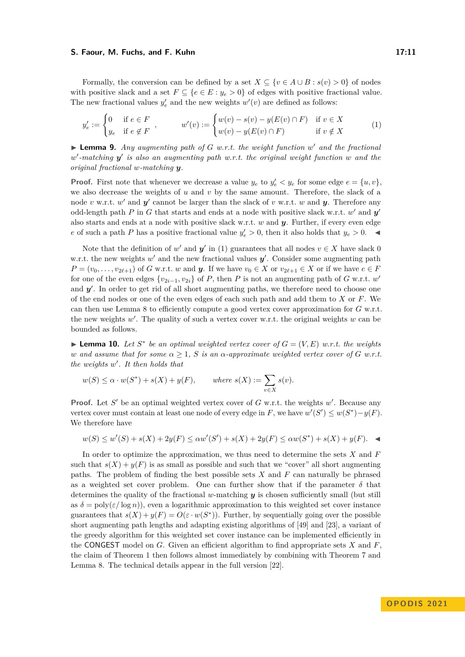#### **S. Faour, M. Fuchs, and F. Kuhn 17:11 17:11**

Formally, the conversion can be defined by a set  $X \subseteq \{v \in A \cup B : s(v) > 0\}$  of nodes with positive slack and a set  $F \subseteq \{e \in E : y_e > 0\}$  of edges with positive fractional value. The new fractional values  $y'_e$  and the new weights  $w'(v)$  are defined as follows:

<span id="page-10-0"></span>
$$
y'_e := \begin{cases} 0 & \text{if } e \in F \\ y_e & \text{if } e \notin F \end{cases}, \qquad w'(v) := \begin{cases} w(v) - s(v) - y(E(v) \cap F) & \text{if } v \in X \\ w(v) - y(E(v) \cap F) & \text{if } v \notin X \end{cases}
$$
 (1)

▶ **Lemma 9.** *Any augmenting path of G w.r.t. the weight function w' and the fractional w* ′ *-matching y* ′ *is also an augmenting path w.r.t. the original weight function w and the original fractional w-matching y.*

**Proof.** First note that whenever we decrease a value  $y_e$  to  $y'_e < y_e$  for some edge  $e = \{u, v\}$ , we also decrease the weights of *u* and *v* by the same amount. Therefore, the slack of a node *v* w.r.t. *w'* and *y'* cannot be larger than the slack of *v* w.r.t. *w* and *y*. Therefore any odd-length path *P* in *G* that starts and ends at a node with positive slack w.r.t.  $w'$  and  $y'$ also starts and ends at a node with positive slack w.r.t. *w* and *y*. Further, if every even edge *e* of such a path *P* has a positive fractional value  $y'_e > 0$ , then it also holds that  $y_e > 0$ .

Note that the definition of  $w'$  and  $y'$  in [\(1\)](#page-10-0) guarantees that all nodes  $v \in X$  have slack 0 w.r.t. the new weights  $w'$  and the new fractional values  $y'$ . Consider some augmenting path  $P = (v_0, \ldots, v_{2\ell+1})$  of *G* w.r.t. *w* and *y*. If we have  $v_0 \in X$  or  $v_{2\ell+1} \in X$  or if we have  $e \in F$ for one of the even edges  $\{v_{2i-1}, v_{2i}\}$  of *P*, then *P* is not an augmenting path of *G* w.r.t. *w*<sup>'</sup> and y'. In order to get rid of all short augmenting paths, we therefore need to choose one of the end nodes or one of the even edges of each such path and add them to *X* or *F*. We can then use Lemma [8](#page-8-0) to efficiently compute a good vertex cover approximation for *G* w.r.t. the new weights  $w'$ . The quality of such a vertex cover w.r.t. the original weights  $w$  can be bounded as follows.

▶ **Lemma 10.** Let  $S^*$  be an optimal weighted vertex cover of  $G = (V, E)$  w.r.t. the weights *w* and assume that for some  $\alpha \geq 1$ , *S* is an  $\alpha$ -approximate weighted vertex cover of *G w.r.t. the weights w* ′ *. It then holds that*

$$
w(S) \le \alpha \cdot w(S^*) + s(X) + y(F), \qquad \text{where } s(X) := \sum_{v \in X} s(v).
$$

**Proof.** Let S' be an optimal weighted vertex cover of G w.r.t. the weights w'. Because any vertex cover must contain at least one node of every edge in *F*, we have  $w'(S') \leq w(S^*) - y(F)$ . We therefore have

$$
w(S) \le w'(S) + s(X) + 2y(F) \le \alpha w'(S') + s(X) + 2y(F) \le \alpha w(S^*) + s(X) + y(F). \quad \blacktriangleleft
$$

In order to optimize the approximation, we thus need to determine the sets *X* and *F* such that  $s(X) + y(F)$  is as small as possible and such that we "cover" all short augmenting paths. The problem of finding the best possible sets *X* and *F* can naturally be phrased as a weighted set cover problem. One can further show that if the parameter  $\delta$  that determines the quality of the fractional *w*-matching *y* is chosen sufficiently small (but still as  $\delta = \text{poly}(\varepsilon/\log n)$ , even a logarithmic approximation to this weighted set cover instance guarantees that  $s(X) + y(F) = O(\varepsilon \cdot w(S^*))$ . Further, by sequentially going over the possible short augmenting path lengths and adapting existing algorithms of [\[49\]](#page-18-1) and [\[23\]](#page-17-0), a variant of the greedy algorithm for this weighted set cover instance can be implemented efficiently in the CONGEST model on *G*. Given an efficient algorithm to find appropriate sets *X* and *F*, the claim of Theorem [1](#page-2-0) then follows almost immediately by combining with Theorem [7](#page-7-2) and Lemma [8.](#page-8-0) The technical details appear in the full version [\[22\]](#page-17-18).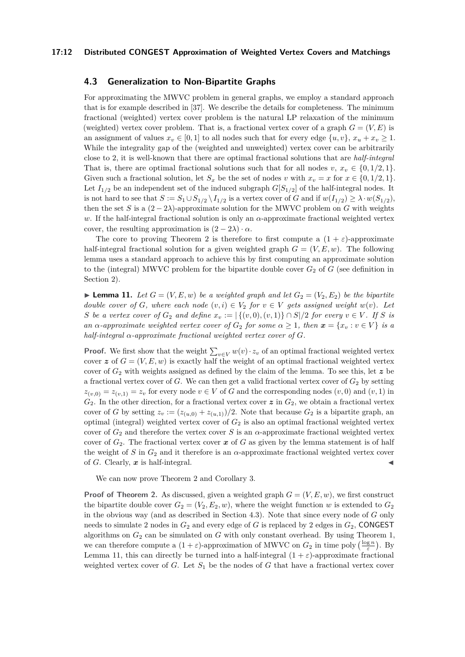#### **17:12 Distributed CONGEST Approximation of Weighted Vertex Covers and Matchings**

# <span id="page-11-0"></span>**4.3 Generalization to Non-Bipartite Graphs**

For approximating the MWVC problem in general graphs, we employ a standard approach that is for example described in [\[37\]](#page-17-21). We describe the details for completeness. The minimum fractional (weighted) vertex cover problem is the natural LP relaxation of the minimum (weighted) vertex cover problem. That is, a fractional vertex cover of a graph  $G = (V, E)$  is an assignment of values  $x_v \in [0,1]$  to all nodes such that for every edge  $\{u, v\}$ ,  $x_u + x_v \ge 1$ . While the integrality gap of the (weighted and unweighted) vertex cover can be arbitrarily close to 2, it is well-known that there are optimal fractional solutions that are *half-integral* That is, there are optimal fractional solutions such that for all nodes  $v, x_v \in \{0, 1/2, 1\}.$ Given such a fractional solution, let  $S_x$  be the set of nodes *v* with  $x_v = x$  for  $x \in \{0, 1/2, 1\}.$ Let  $I_{1/2}$  be an independent set of the induced subgraph  $G[S_{1/2}]$  of the half-integral nodes. It is not hard to see that  $S := S_1 \cup S_{1/2} \setminus I_{1/2}$  is a vertex cover of *G* and if  $w(I_{1/2}) \geq \lambda \cdot w(S_{1/2})$ , then the set *S* is a  $(2 - 2\lambda)$ -approximate solution for the MWVC problem on *G* with weights *w*. If the half-integral fractional solution is only an *α*-approximate fractional weighted vertex cover, the resulting approximation is  $(2 - 2\lambda) \cdot \alpha$ .

The core to proving Theorem [2](#page-3-0) is therefore to first compute a  $(1 + \varepsilon)$ -approximate half-integral fractional solution for a given weighted graph  $G = (V, E, w)$ . The following lemma uses a standard approach to achieve this by first computing an approximate solution to the (integral) MWVC problem for the bipartite double cover  $G_2$  of  $G$  (see definition in Section [2\)](#page-4-1).

<span id="page-11-1"></span>**• Lemma 11.** Let  $G = (V, E, w)$  be a weighted graph and let  $G_2 = (V_2, E_2)$  be the bipartite *double cover of G, where each node*  $(v, i) \in V_2$  *for*  $v \in V$  *gets assigned weight*  $w(v)$ *. Let S be a vertex cover of*  $G_2$  *and define*  $x_v := |\{(v,0),(v,1)\} \cap S|/2$  *for every*  $v \in V$ *. If S is an*  $\alpha$ -*approximate weighted vertex cover of*  $G_2$  *for some*  $\alpha \geq 1$ *, then*  $\boldsymbol{x} = \{x_v : v \in V\}$  *is a half-integral α-approximate fractional weighted vertex cover of G.*

**Proof.** We first show that the weight  $\sum_{v \in V} w(v) \cdot z_v$  of an optimal fractional weighted vertex cover  $z$  of  $G = (V, E, w)$  is exactly half the weight of an optimal fractional weighted vertex cover of  $G_2$  with weights assigned as defined by the claim of the lemma. To see this, let  $\boldsymbol{z}$  be a fractional vertex cover of  $G$ . We can then get a valid fractional vertex cover of  $G_2$  by setting  $z(v,0) = z(v,1) = z_v$  for every node  $v \in V$  of *G* and the corresponding nodes  $(v,0)$  and  $(v,1)$  in  $G_2$ . In the other direction, for a fractional vertex cover  $z$  in  $G_2$ , we obtain a fractional vertex cover of *G* by setting  $z_v := (z_{(u,0)} + z_{(u,1)})/2$ . Note that because  $G_2$  is a bipartite graph, an optimal (integral) weighted vertex cover of *G*<sup>2</sup> is also an optimal fractional weighted vertex cover of  $G_2$  and therefore the vertex cover *S* is an  $\alpha$ -approximate fractional weighted vertex cover of  $G_2$ . The fractional vertex cover  $x$  of  $G$  as given by the lemma statement is of half the weight of *S* in  $G_2$  and it therefore is an  $\alpha$ -approximate fractional weighted vertex cover of  $G$ . Clearly,  $x$  is half-integral.

We can now prove Theorem [2](#page-3-0) and Corollary [3.](#page-3-1)

**Proof of Theorem [2.](#page-3-0)** As discussed, given a weighted graph  $G = (V, E, w)$ , we first construct the bipartite double cover  $G_2 = (V_2, E_2, w)$ , where the weight function *w* is extended to  $G_2$ in the obvious way (and as described in Section [4.3\)](#page-11-0). Note that since every node of *G* only needs to simulate 2 nodes in  $G_2$  and every edge of *G* is replaced by 2 edges in  $G_2$ , CONGEST algorithms on  $G_2$  can be simulated on  $G$  with only constant overhead. By using Theorem [1,](#page-2-0) we can therefore compute a  $(1 + \varepsilon)$ -approximation of MWVC on  $G_2$  in time poly  $\left(\frac{\log n}{\varepsilon}\right)$ . By Lemma [11,](#page-11-1) this can directly be turned into a half-integral  $(1 + \varepsilon)$ -approximate fractional weighted vertex cover of  $G$ . Let  $S_1$  be the nodes of  $G$  that have a fractional vertex cover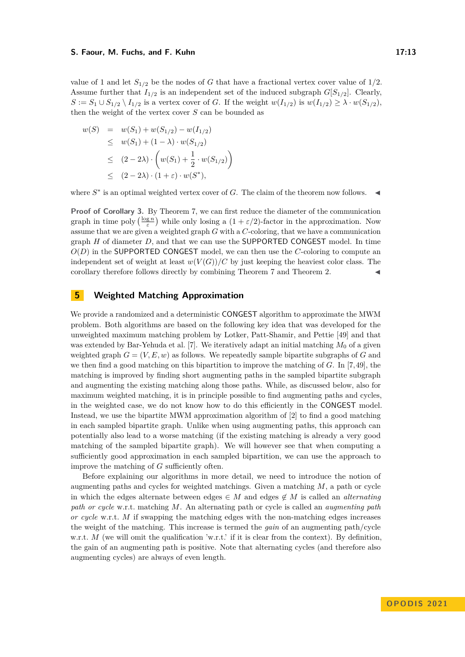#### **S. Faour, M. Fuchs, and F. Kuhn 17:13 17:13**

value of 1 and let  $S_{1/2}$  be the nodes of *G* that have a fractional vertex cover value of  $1/2$ . Assume further that  $I_{1/2}$  is an independent set of the induced subgraph  $G[S_{1/2}]$ . Clearly,  $S := S_1 \cup S_{1/2} \setminus I_{1/2}$  is a vertex cover of *G*. If the weight  $w(I_{1/2})$  is  $w(I_{1/2}) \geq \lambda \cdot w(S_{1/2}),$ then the weight of the vertex cover *S* can be bounded as

$$
w(S) = w(S_1) + w(S_{1/2}) - w(I_{1/2})
$$
  
\n
$$
\leq w(S_1) + (1 - \lambda) \cdot w(S_{1/2})
$$
  
\n
$$
\leq (2 - 2\lambda) \cdot \left(w(S_1) + \frac{1}{2} \cdot w(S_{1/2})\right)
$$
  
\n
$$
\leq (2 - 2\lambda) \cdot (1 + \varepsilon) \cdot w(S^*),
$$

where  $S^*$  is an optimal weighted vertex cover of *G*. The claim of the theorem now follows.  $\blacktriangleleft$ 

**Proof of Corollary [3.](#page-3-1)** By Theorem [7,](#page-7-2) we can first reduce the diameter of the communication graph in time poly  $\left(\frac{\log n}{\varepsilon}\right)$  while only losing a  $(1 + \varepsilon/2)$ -factor in the approximation. Now assume that we are given a weighted graph *G* with a *C*-coloring, that we have a communication graph *H* of diameter *D*, and that we can use the SUPPORTED CONGEST model. In time *O*(*D*) in the SUPPORTED CONGEST model, we can then use the *C*-coloring to compute an independent set of weight at least  $w(V(G))/C$  by just keeping the heaviest color class. The corollary therefore follows directly by combining Theorem [7](#page-7-2) and Theorem [2.](#page-3-0)

# <span id="page-12-0"></span>**5 Weighted Matching Approximation**

We provide a randomized and a deterministic CONGEST algorithm to approximate the MWM problem. Both algorithms are based on the following key idea that was developed for the unweighted maximum matching problem by Lotker, Patt-Shamir, and Pettie [\[49\]](#page-18-1) and that was extended by Bar-Yehuda et al. [\[7\]](#page-16-2). We iteratively adapt an initial matching  $M_0$  of a given weighted graph  $G = (V, E, w)$  as follows. We repeatedly sample bipartite subgraphs of G and we then find a good matching on this bipartition to improve the matching of *G*. In [\[7,](#page-16-2)[49\]](#page-18-1), the matching is improved by finding short augmenting paths in the sampled bipartite subgraph and augmenting the existing matching along those paths. While, as discussed below, also for maximum weighted matching, it is in principle possible to find augmenting paths and cycles, in the weighted case, we do not know how to do this efficiently in the CONGEST model. Instead, we use the bipartite MWM approximation algorithm of [\[2\]](#page-16-11) to find a good matching in each sampled bipartite graph. Unlike when using augmenting paths, this approach can potentially also lead to a worse matching (if the existing matching is already a very good matching of the sampled bipartite graph). We will however see that when computing a sufficiently good approximation in each sampled bipartition, we can use the approach to improve the matching of *G* sufficiently often.

Before explaining our algorithms in more detail, we need to introduce the notion of augmenting paths and cycles for weighted matchings. Given a matching *M*, a path or cycle in which the edges alternate between edges  $\in M$  and edges  $\notin M$  is called an *alternating path or cycle* w.r.t. matching *M*. An alternating path or cycle is called an *augmenting path or cycle* w.r.t. *M* if swapping the matching edges with the non-matching edges increases the weight of the matching. This increase is termed the *gain* of an augmenting path/cycle w.r.t. *M* (we will omit the qualification 'w.r.t.' if it is clear from the context). By definition, the gain of an augmenting path is positive. Note that alternating cycles (and therefore also augmenting cycles) are always of even length.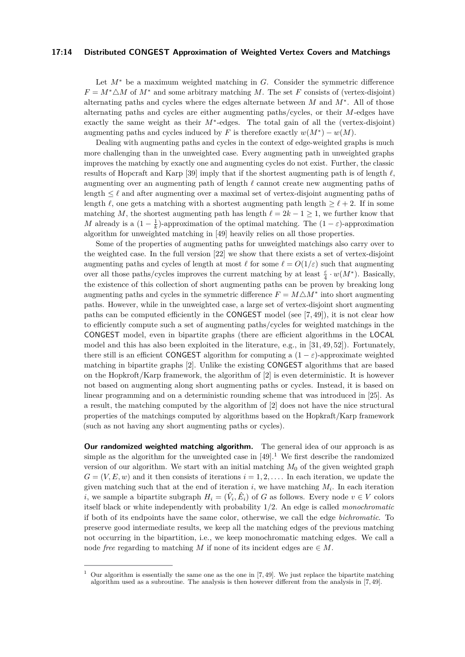#### **17:14 Distributed CONGEST Approximation of Weighted Vertex Covers and Matchings**

Let *M*<sup>∗</sup> be a maximum weighted matching in *G*. Consider the symmetric difference  $F = M^* \triangle M$  of  $M^*$  and some arbitrary matching M. The set *F* consists of (vertex-disjoint) alternating paths and cycles where the edges alternate between *M* and *M*<sup>∗</sup> . All of those alternating paths and cycles are either augmenting paths/cycles, or their *M*-edges have exactly the same weight as their *M*<sup>∗</sup>-edges. The total gain of all the (vertex-disjoint) augmenting paths and cycles induced by *F* is therefore exactly  $w(M^*) - w(M)$ .

Dealing with augmenting paths and cycles in the context of edge-weighted graphs is much more challenging than in the unweighted case. Every augmenting path in unweighted graphs improves the matching by exactly one and augmenting cycles do not exist. Further, the classic results of Hopcraft and Karp [\[39\]](#page-17-22) imply that if the shortest augmenting path is of length *ℓ*, augmenting over an augmenting path of length *ℓ* cannot create new augmenting paths of length  $\leq \ell$  and after augmenting over a maximal set of vertex-disjoint augmenting paths of length  $\ell$ , one gets a matching with a shortest augmenting path length  $\geq \ell + 2$ . If in some matching *M*, the shortest augmenting path has length  $\ell = 2k - 1 \geq 1$ , we further know that *M* already is a  $(1 - \frac{1}{k})$ -approximation of the optimal matching. The  $(1 - \varepsilon)$ -approximation algorithm for unweighted matching in [\[49\]](#page-18-1) heavily relies on all those properties.

Some of the properties of augmenting paths for unweighted matchings also carry over to the weighted case. In the full version [\[22\]](#page-17-18) we show that there exists a set of vertex-disjoint augmenting paths and cycles of length at most  $\ell$  for some  $\ell = O(1/\varepsilon)$  such that augmenting over all those paths/cycles improves the current matching by at least *<sup>ε</sup>* 4 · *w*(*M*<sup>∗</sup> ). Basically, the existence of this collection of short augmenting paths can be proven by breaking long augmenting paths and cycles in the symmetric difference  $F = M\triangle M^*$  into short augmenting paths. However, while in the unweighted case, a large set of vertex-disjoint short augmenting paths can be computed efficiently in the CONGEST model (see [\[7,](#page-16-2) [49\]](#page-18-1)), it is not clear how to efficiently compute such a set of augmenting paths/cycles for weighted matchings in the CONGEST model, even in bipartite graphs (there are efficient algorithms in the LOCAL model and this has also been exploited in the literature, e.g., in [\[31,](#page-17-12) [49,](#page-18-1) [52\]](#page-18-3)). Fortunately, there still is an efficient CONGEST algorithm for computing a  $(1 - \varepsilon)$ -approximate weighted matching in bipartite graphs [\[2\]](#page-16-11). Unlike the existing CONGEST algorithms that are based on the Hopkroft/Karp framework, the algorithm of [\[2\]](#page-16-11) is even deterministic. It is however not based on augmenting along short augmenting paths or cycles. Instead, it is based on linear programming and on a deterministic rounding scheme that was introduced in [\[25\]](#page-17-1). As a result, the matching computed by the algorithm of [\[2\]](#page-16-11) does not have the nice structural properties of the matchings computed by algorithms based on the Hopkraft/Karp framework (such as not having any short augmenting paths or cycles).

**Our randomized weighted matching algorithm.** The general idea of our approach is as simple as the algorithm for the unweighted case in  $[49]$ .<sup>[1](#page-13-0)</sup> We first describe the randomized version of our algorithm. We start with an initial matching  $M_0$  of the given weighted graph  $G = (V, E, w)$  and it then consists of iterations  $i = 1, 2, \ldots$  In each iteration, we update the given matching such that at the end of iteration *i*, we have matching *M<sup>i</sup>* . In each iteration *i*, we sample a bipartite subgraph  $H_i = (\hat{V}_i, \hat{E}_i)$  of *G* as follows. Every node  $v \in V$  colors itself black or white independently with probability 1*/*2. An edge is called *monochromatic* if both of its endpoints have the same color, otherwise, we call the edge *bichromatic*. To preserve good intermediate results, we keep all the matching edges of the previous matching not occurring in the bipartition, i.e., we keep monochromatic matching edges. We call a node *free* regarding to matching *M* if none of its incident edges are  $\in M$ .

<span id="page-13-0"></span>Our algorithm is essentially the same one as the one in  $[7, 49]$  $[7, 49]$ . We just replace the bipartite matching algorithm used as a subroutine. The analysis is then however different from the analysis in [\[7,](#page-16-2) [49\]](#page-18-1).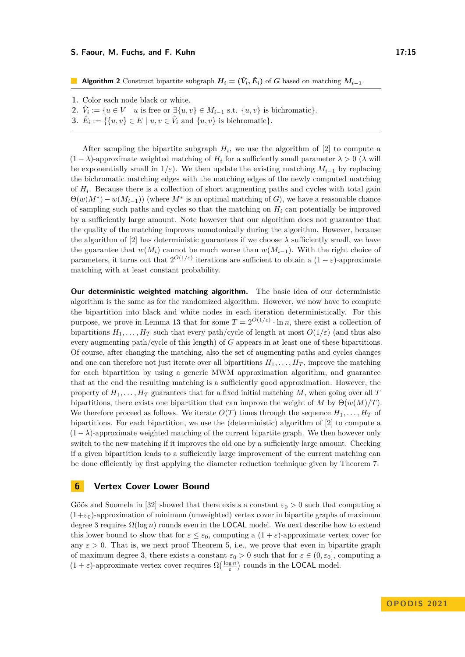#### **S. Faour, M. Fuchs, and F. Kuhn 17:15 17:15**

**Algorithm 2** Construct bipartite subgraph  $H_i = (\hat{V}_i, \hat{E}_i)$  of *G* based on matching  $M_{i-1}$ .

- **1.** Color each node black or white.
- **2.**  $\hat{V}_i := \{u \in V \mid u \text{ is free or } \exists \{u, v\} \in M_{i-1} \text{ s.t. } \{u, v\} \text{ is bichromatic}\}.$
- **3.**  $\hat{E}_i := \{ \{u, v\} \in E \mid u, v \in \hat{V}_i \text{ and } \{u, v\} \text{ is bichromatic} \}.$

After sampling the bipartite subgraph  $H_i$ , we use the algorithm of [\[2\]](#page-16-11) to compute a  $(1 - \lambda)$ -approximate weighted matching of  $H_i$  for a sufficiently small parameter  $\lambda > 0$  ( $\lambda$  will be exponentially small in  $1/\varepsilon$ ). We then update the existing matching  $M_{i-1}$  by replacing the bichromatic matching edges with the matching edges of the newly computed matching of  $H_i$ . Because there is a collection of short augmenting paths and cycles with total gain  $\Theta(w(M^*) - w(M_{i-1}))$  (where  $M^*$  is an optimal matching of *G*), we have a reasonable chance of sampling such paths and cycles so that the matching on *H<sup>i</sup>* can potentially be improved by a sufficiently large amount. Note however that our algorithm does not guarantee that the quality of the matching improves monotonically during the algorithm. However, because the algorithm of [\[2\]](#page-16-11) has deterministic guarantees if we choose  $\lambda$  sufficiently small, we have the guarantee that  $w(M_i)$  cannot be much worse than  $w(M_{i-1})$ . With the right choice of parameters, it turns out that  $2^{O(1/\varepsilon)}$  iterations are sufficient to obtain a  $(1-\varepsilon)$ -approximate matching with at least constant probability.

**Our deterministic weighted matching algorithm.** The basic idea of our deterministic algorithm is the same as for the randomized algorithm. However, we now have to compute the bipartition into black and white nodes in each iteration deterministically. For this purpose, we prove in Lemma [13](#page-19-0) that for some  $T = 2^{O(1/\varepsilon)} \cdot \ln n$ , there exist a collection of bipartitions  $H_1, \ldots, H_T$  such that every path/cycle of length at most  $O(1/\varepsilon)$  (and thus also every augmenting path/cycle of this length) of *G* appears in at least one of these bipartitions. Of course, after changing the matching, also the set of augmenting paths and cycles changes and one can therefore not just iterate over all bipartitions  $H_1, \ldots, H_T$ , improve the matching for each bipartition by using a generic MWM approximation algorithm, and guarantee that at the end the resulting matching is a sufficiently good approximation. However, the property of  $H_1, \ldots, H_T$  guarantees that for a fixed initial matching M, when going over all T bipartitions, there exists one bipartition that can improve the weight of *M* by  $\Theta(w(M)/T)$ . We therefore proceed as follows. We iterate  $O(T)$  times through the sequence  $H_1, \ldots, H_T$  of bipartitions. For each bipartition, we use the (deterministic) algorithm of [\[2\]](#page-16-11) to compute a  $(1 - \lambda)$ -approximate weighted matching of the current bipartite graph. We then however only switch to the new matching if it improves the old one by a sufficiently large amount. Checking if a given bipartition leads to a sufficiently large improvement of the current matching can be done efficiently by first applying the diameter reduction technique given by Theorem [7.](#page-7-2)

# <span id="page-14-0"></span>**6 Vertex Cover Lower Bound**

Göös and Suomela in [\[32\]](#page-17-3) showed that there exists a constant  $\varepsilon_0 > 0$  such that computing a (1+*ε*0)-approximation of minimum (unweighted) vertex cover in bipartite graphs of maximum degree 3 requires  $\Omega(\log n)$  rounds even in the **LOCAL** model. We next describe how to extend this lower bound to show that for  $\varepsilon \leq \varepsilon_0$ , computing a  $(1 + \varepsilon)$ -approximate vertex cover for any  $\varepsilon > 0$ . That is, we next proof Theorem [5,](#page-4-0) i.e., we prove that even in bipartite graph of maximum degree 3, there exists a constant  $\varepsilon_0 > 0$  such that for  $\varepsilon \in (0, \varepsilon_0]$ , computing a  $(1 + \varepsilon)$ -approximate vertex cover requires  $\Omega(\frac{\log n}{\varepsilon})$  rounds in the **LOCAL** model.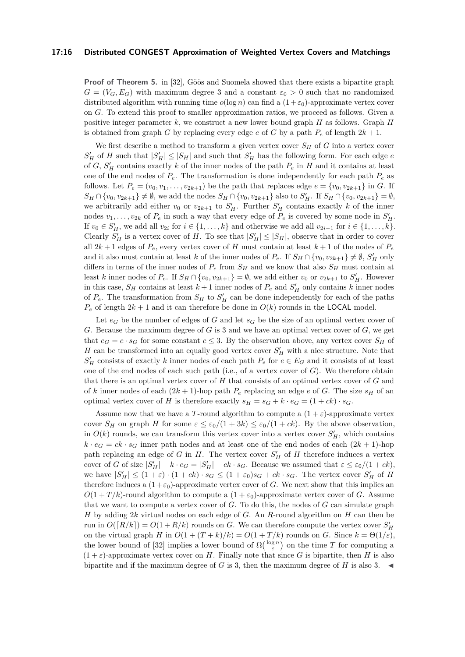#### **17:16 Distributed CONGEST Approximation of Weighted Vertex Covers and Matchings**

**Proof of Theorem [5.](#page-4-0)** in [\[32\]](#page-17-3), Göös and Suomela showed that there exists a bipartite graph  $G = (V_G, E_G)$  with maximum degree 3 and a constant  $\varepsilon_0 > 0$  such that no randomized distributed algorithm with running time  $o(\log n)$  can find a  $(1 + \varepsilon_0)$ -approximate vertex cover on *G*. To extend this proof to smaller approximation ratios, we proceed as follows. Given a positive integer parameter *k*, we construct a new lower bound graph *H* as follows. Graph *H* is obtained from graph *G* by replacing every edge *e* of *G* by a path  $P_e$  of length  $2k + 1$ .

We first describe a method to transform a given vertex cover *S<sup>H</sup>* of *G* into a vertex cover  $S'_H$  of *H* such that  $|S'_H| \leq |S_H|$  and such that  $S'_H$  has the following form. For each edge *e* of *G*,  $S'_H$  contains exactly *k* of the inner nodes of the path  $P_e$  in *H* and it contains at least one of the end nodes of  $P_e$ . The transformation is done independently for each path  $P_e$  as follows. Let  $P_e = (v_0, v_1, \ldots, v_{2k+1})$  be the path that replaces edge  $e = \{v_0, v_{2k+1}\}$  in *G*. If  $S_H \cap \{v_0, v_{2k+1}\} \neq \emptyset$ , we add the nodes  $S_H \cap \{v_0, v_{2k+1}\}$  also to  $S'_H$ . If  $S_H \cap \{v_0, v_{2k+1}\} = \emptyset$ , we arbitrarily add either  $v_0$  or  $v_{2k+1}$  to  $S'_H$ . Further  $S'_H$  contains exactly k of the inner nodes  $v_1, \ldots, v_{2k}$  of  $P_e$  in such a way that every edge of  $P_e$  is covered by some node in  $S'_H$ . If  $v_0 \in S_H'$ , we add all  $v_{2i}$  for  $i \in \{1, \ldots, k\}$  and otherwise we add all  $v_{2i-1}$  for  $i \in \{1, \ldots, k\}$ . Clearly  $S'_H$  is a vertex cover of *H*. To see that  $|S'_H| \leq |S_H|$ , observe that in order to cover all  $2k + 1$  edges of  $P_e$ , every vertex cover of *H* must contain at least  $k + 1$  of the nodes of  $P_e$ and it also must contain at least *k* of the inner nodes of  $P_e$ . If  $S_H \cap \{v_0, v_{2k+1}\}\neq \emptyset$ ,  $S'_H$  only differs in terms of the inner nodes of  $P_e$  from  $S_H$  and we know that also  $S_H$  must contain at least *k* inner nodes of  $P_e$ . If  $S_H \cap \{v_0, v_{2k+1}\} = \emptyset$ , we add either  $v_0$  or  $v_{2k+1}$  to  $S'_H$ . However in this case,  $S_H$  contains at least  $k+1$  inner nodes of  $P_e$  and  $S'_H$  only contains  $k$  inner nodes of  $P_e$ . The transformation from  $S_H$  to  $S'_H$  can be done independently for each of the paths  $P_e$  of length  $2k + 1$  and it can therefore be done in  $O(k)$  rounds in the **LOCAL** model.

Let  $e_G$  be the number of edges of *G* and let  $s_G$  be the size of an optimal vertex cover of *G*. Because the maximum degree of *G* is 3 and we have an optimal vertex cover of *G*, we get that  $e_G = c \cdot s_G$  for some constant  $c \leq 3$ . By the observation above, any vertex cover  $S_H$  of *H* can be transformed into an equally good vertex cover  $S'_H$  with a nice structure. Note that  $S'_H$  consists of exactly *k* inner nodes of each path  $P_e$  for  $e \in E_G$  and it consists of at least one of the end nodes of each such path (i.e., of a vertex cover of *G*). We therefore obtain that there is an optimal vertex cover of *H* that consists of an optimal vertex cover of *G* and of *k* inner nodes of each  $(2k + 1)$ -hop path  $P_e$  replacing an edge *e* of *G*. The size  $s_H$  of an optimal vertex cover of *H* is therefore exactly  $s_H = s_G + k \cdot e_G = (1 + ck) \cdot s_G$ .

Assume now that we have a *T*-round algorithm to compute a  $(1 + \varepsilon)$ -approximate vertex cover  $S_H$  on graph *H* for some  $\varepsilon \leq \varepsilon_0/(1+3k) \leq \varepsilon_0/(1+ck)$ . By the above observation, in  $O(k)$  rounds, we can transform this vertex cover into a vertex cover  $S'_H$ , which contains  $k \cdot e_G = ck \cdot s_G$  inner path nodes and at least one of the end nodes of each  $(2k + 1)$ -hop path replacing an edge of *G* in *H*. The vertex cover  $S'_H$  of *H* therefore induces a vertex cover of *G* of size  $|S'_H| - k \cdot e_G = |S'_H| - ck \cdot s_G$ . Because we assumed that  $\varepsilon \leq \varepsilon_0/(1 + ck)$ , we have  $|S'_H| \leq (1+\varepsilon) \cdot (1+ck) \cdot s_G \leq (1+\varepsilon_0)s_G + ck \cdot s_G$ . The vertex cover  $S'_H$  of *H* therefore induces a  $(1+\varepsilon_0)$ -approximate vertex cover of *G*. We next show that this implies an  $O(1 + T/k)$ -round algorithm to compute a  $(1 + \varepsilon_0)$ -approximate vertex cover of *G*. Assume that we want to compute a vertex cover of *G*. To do this, the nodes of *G* can simulate graph *H* by adding 2*k* virtual nodes on each edge of *G*. An *R*-round algorithm on *H* can then be run in  $O([R/k]) = O(1 + R/k)$  rounds on *G*. We can therefore compute the vertex cover  $S'_H$ on the virtual graph *H* in  $O(1 + (T + k)/k) = O(1 + T/k)$  rounds on *G*. Since  $k = \Theta(1/\varepsilon)$ , the lower bound of [\[32\]](#page-17-3) implies a lower bound of  $\Omega(\frac{\log n}{\varepsilon})$  on the time *T* for computing a  $(1 + \varepsilon)$ -approximate vertex cover on *H*. Finally note that since *G* is bipartite, then *H* is also bipartite and if the maximum degree of  $G$  is 3, then the maximum degree of  $H$  is also 3.  $\blacktriangleleft$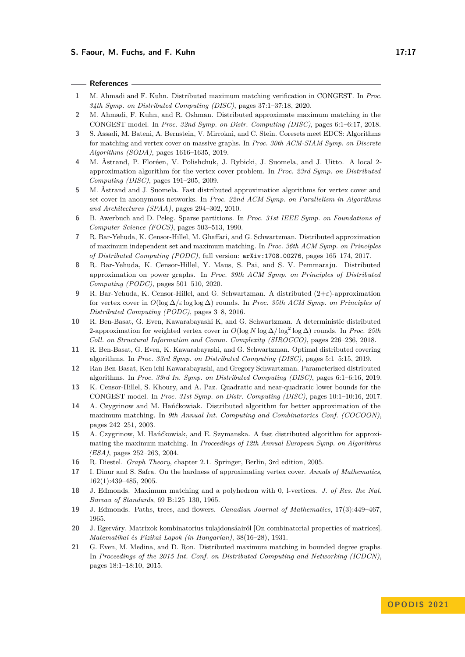#### **References**

- <span id="page-16-0"></span>**1** M. Ahmadi and F. Kuhn. Distributed maximum matching verification in CONGEST. In *Proc. 34th Symp. on Distributed Computing (DISC)*, pages 37:1–37:18, 2020.
- <span id="page-16-11"></span>**2** M. Ahmadi, F. Kuhn, and R. Oshman. Distributed approximate maximum matching in the CONGEST model. In *Proc. 32nd Symp. on Distr. Computing (DISC)*, pages 6:1–6:17, 2018.
- **3** S. Assadi, M. Bateni, A. Bernstein, V. Mirrokni, and C. Stein. Coresets meet EDCS: Algorithms for matching and vertex cover on massive graphs. In *Proc. 30th ACM-SIAM Symp. on Discrete Algorithms (SODA)*, pages 1616–1635, 2019.
- **4** M. Åstrand, P. Floréen, V. Polishchuk, J. Rybicki, J. Suomela, and J. Uitto. A local 2 approximation algorithm for the vertex cover problem. In *Proc. 23rd Symp. on Distributed Computing (DISC)*, pages 191–205, 2009.
- <span id="page-16-1"></span>**5** M. Åstrand and J. Suomela. Fast distributed approximation algorithms for vertex cover and set cover in anonymous networks. In *Proc. 22nd ACM Symp. on Parallelism in Algorithms and Architectures (SPAA)*, pages 294–302, 2010.
- <span id="page-16-16"></span>**6** B. Awerbuch and D. Peleg. Sparse partitions. In *Proc. 31st IEEE Symp. on Foundations of Computer Science (FOCS)*, pages 503–513, 1990.
- <span id="page-16-2"></span>**7** R. Bar-Yehuda, K. Censor-Hillel, M. Ghaffari, and G. Schwartzman. Distributed approximation of maximum independent set and maximum matching. In *Proc. 36th ACM Symp. on Principles of Distributed Computing (PODC),* full version: [arXiv:1708.00276](https://arxiv.org/abs/1708.00276), pages 165–174, 2017.
- <span id="page-16-15"></span>**8** R. Bar-Yehuda, K. Censor-Hillel, Y. Maus, S. Pai, and S. V. Pemmaraju. Distributed approximation on power graphs. In *Proc. 39th ACM Symp. on Principles of Distributed Computing (PODC)*, pages 501–510, 2020.
- <span id="page-16-12"></span>**9** R. Bar-Yehuda, K. Censor-Hillel, and G. Schwartzman. A distributed (2+*ε*)-approximation for vertex cover in *O*(log ∆*/ε* log log ∆) rounds. In *Proc. 35th ACM Symp. on Principles of Distributed Computing (PODC)*, pages 3–8, 2016.
- **10** R. Ben-Basat, G. Even, Kawarabayashi K, and G. Schwartzman. A deterministic distributed 2-approximation for weighted vertex cover in *O*(log *N* log ∆*/* log<sup>2</sup> log ∆) rounds. In *Proc. 25th Coll. on Structural Information and Comm. Complexity (SIROCCO)*, pages 226–236, 2018.
- <span id="page-16-3"></span>**11** R. Ben-Basat, G. Even, K. Kawarabayashi, and G. Schwartzman. Optimal distributed covering algorithms. In *Proc. 33rd Symp. on Distributed Computing (DISC)*, pages 5:1–5:15, 2019.
- <span id="page-16-14"></span>**12** Ran Ben-Basat, Ken ichi Kawarabayashi, and Gregory Schwartzman. Parameterized distributed algorithms. In *Proc. 33rd In. Symp. on Distributed Computing (DISC)*, pages 6:1–6:16, 2019.
- <span id="page-16-13"></span>**13** K. Censor-Hillel, S. Khoury, and A. Paz. Quadratic and near-quadratic lower bounds for the CONGEST model. In *Proc. 31st Symp. on Distr. Computing (DISC)*, pages 10:1–10:16, 2017.
- <span id="page-16-4"></span>**14** A. Czygrinow and M. Hańćkowiak. Distributed algorithm for better approximation of the maximum matching. In *9th Annual Int. Computing and Combinatorics Conf. (COCOON)*, pages 242–251, 2003.
- <span id="page-16-5"></span>**15** A. Czygrinow, M. Hańćkowiak, and E. Szymanska. A fast distributed algorithm for approximating the maximum matching. In *Proceedings of 12th Annual European Symp. on Algorithms (ESA)*, pages 252–263, 2004.
- <span id="page-16-17"></span>**16** R. Diestel. *Graph Theory*, chapter 2.1. Springer, Berlin, 3rd edition, 2005.
- <span id="page-16-10"></span>**17** I. Dinur and S. Safra. On the hardness of approximating vertex cover. *Annals of Mathematics*, 162(1):439–485, 2005.
- <span id="page-16-7"></span>**18** J. Edmonds. Maximum matching and a polyhedron with 0, l-vertices. *J. of Res. the Nat. Bureau of Standards*, 69 B:125–130, 1965.
- <span id="page-16-8"></span>**19** J. Edmonds. Paths, trees, and flowers. *Canadian Journal of Mathematics*, 17(3):449–467, 1965.
- <span id="page-16-9"></span>**20** J. Egerváry. Matrixok kombinatorius tulajdonsáairól [On combinatorial properties of matrices]. *Matematikai és Fizikai Lapok (in Hungarian)*, 38(16–28), 1931.
- <span id="page-16-6"></span>**21** G. Even, M. Medina, and D. Ron. Distributed maximum matching in bounded degree graphs. In *Proceedings of the 2015 Int. Conf. on Distributed Computing and Networking (ICDCN)*, pages 18:1–18:10, 2015.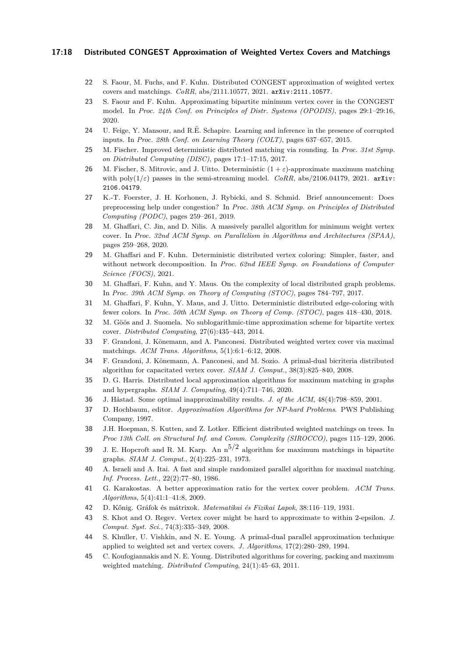#### **17:18 Distributed CONGEST Approximation of Weighted Vertex Covers and Matchings**

- <span id="page-17-18"></span>**22** S. Faour, M. Fuchs, and F. Kuhn. Distributed CONGEST approximation of weighted vertex covers and matchings. *CoRR*, abs/2111.10577, 2021. [arXiv:2111.10577](http://arxiv.org/abs/2111.10577).
- <span id="page-17-0"></span>**23** S. Faour and F. Kuhn. Approximating bipartite minimum vertex cover in the CONGEST model. In *Proc. 24th Conf. on Principles of Distr. Systems (OPODIS)*, pages 29:1–29:16, 2020.
- <span id="page-17-20"></span>**24** U. Feige, Y. Mansour, and R.E. Schapire. Learning and inference in the presence of corrupted ˜ inputs. In *Proc. 28th Conf. on Learning Theory (COLT)*, pages 637–657, 2015.
- <span id="page-17-1"></span>**25** M. Fischer. Improved deterministic distributed matching via rounding. In *Proc. 31st Symp. on Distributed Computing (DISC)*, pages 17:1–17:15, 2017.
- <span id="page-17-13"></span>**26** M. Fischer, S. Mitrovic, and J. Uitto. Deterministic  $(1 + \varepsilon)$ -approximate maximum matching with poly $(1/\varepsilon)$  passes in the semi-streaming model. *CoRR*, abs/2106.04179, 2021. [arXiv:](http://arxiv.org/abs/2106.04179) [2106.04179](http://arxiv.org/abs/2106.04179).
- <span id="page-17-19"></span>**27** K.-T. Foerster, J. H. Korhonen, J. Rybicki, and S. Schmid. Brief announcement: Does preprocessing help under congestion? In *Proc. 38th ACM Symp. on Principles of Distributed Computing (PODC)*, pages 259–261, 2019.
- <span id="page-17-2"></span>**28** M. Ghaffari, C. Jin, and D. Nilis. A massively parallel algorithm for minimum weight vertex cover. In *Proc. 32nd ACM Symp. on Parallelism in Algorithms and Architectures (SPAA)*, pages 259–268, 2020.
- <span id="page-17-17"></span>**29** M. Ghaffari and F. Kuhn. Deterministic distributed vertex coloring: Simpler, faster, and without network decomposition. In *Proc. 62nd IEEE Symp. on Foundations of Computer Science (FOCS)*, 2021.
- <span id="page-17-16"></span>**30** M. Ghaffari, F. Kuhn, and Y. Maus. On the complexity of local distributed graph problems. In *Proc. 39th ACM Symp. on Theory of Computing (STOC)*, pages 784–797, 2017.
- <span id="page-17-12"></span>**31** M. Ghaffari, F. Kuhn, Y. Maus, and J. Uitto. Deterministic distributed edge-coloring with fewer colors. In *Proc. 50th ACM Symp. on Theory of Comp. (STOC)*, pages 418–430, 2018.
- <span id="page-17-3"></span>**32** M. Göös and J. Suomela. No sublogarithmic-time approximation scheme for bipartite vertex cover. *Distributed Computing*, 27(6):435–443, 2014.
- <span id="page-17-23"></span>**33** F. Grandoni, J. Könemann, and A. Panconesi. Distributed weighted vertex cover via maximal matchings. *ACM Trans. Algorithms*, 5(1):6:1–6:12, 2008.
- <span id="page-17-15"></span>**34** F. Grandoni, J. Könemann, A. Panconesi, and M. Sozio. A primal-dual bicriteria distributed algorithm for capacitated vertex cover. *SIAM J. Comput.*, 38(3):825–840, 2008.
- <span id="page-17-4"></span>**35** D. G. Harris. Distributed local approximation algorithms for maximum matching in graphs and hypergraphs. *SIAM J. Computing*, 49(4):711–746, 2020.
- <span id="page-17-10"></span>**36** J. Håstad. Some optimal inapproximability results. *J. of the ACM*, 48(4):798–859, 2001.
- <span id="page-17-21"></span>**37** D. Hochbaum, editor. *Approximation Algorithms for NP-hard Problems*. PWS Publishing Company, 1997.
- <span id="page-17-5"></span>**38** J.H. Hoepman, S. Kutten, and Z. Lotker. Efficient distributed weighted matchings on trees. In *Proc 13th Coll. on Structural Inf. and Comm. Complexity (SIROCCO)*, pages 115–129, 2006.
- <span id="page-17-22"></span>**39** J. E. Hopcroft and R. M. Karp. An  $n^{5/2}$  algorithm for maximum matchings in bipartite graphs. *SIAM J. Comput.*, 2(4):225–231, 1973.
- <span id="page-17-6"></span>**40** A. Israeli and A. Itai. A fast and simple randomized parallel algorithm for maximal matching. *Inf. Process. Lett.*, 22(2):77–80, 1986.
- <span id="page-17-9"></span>**41** G. Karakostas. A better approximation ratio for the vertex cover problem. *ACM Trans. Algorithms*, 5(4):41:1–41:8, 2009.
- <span id="page-17-8"></span>**42** D. Kőnig. Gráfok és mátrixok. *Matematikai és Fizikai Lapok*, 38:116–119, 1931.
- <span id="page-17-11"></span>**43** S. Khot and O. Regev. Vertex cover might be hard to approximate to within 2-epsilon. *J. Comput. Syst. Sci.*, 74(3):335–349, 2008.
- <span id="page-17-14"></span>**44** S. Khuller, U. Vishkin, and N. E. Young. A primal-dual parallel approximation technique applied to weighted set and vertex covers. *J. Algorithms*, 17(2):280–289, 1994.
- <span id="page-17-7"></span>**45** C. Koufogiannakis and N. E. Young. Distributed algorithms for covering, packing and maximum weighted matching. *Distributed Computing*, 24(1):45–63, 2011.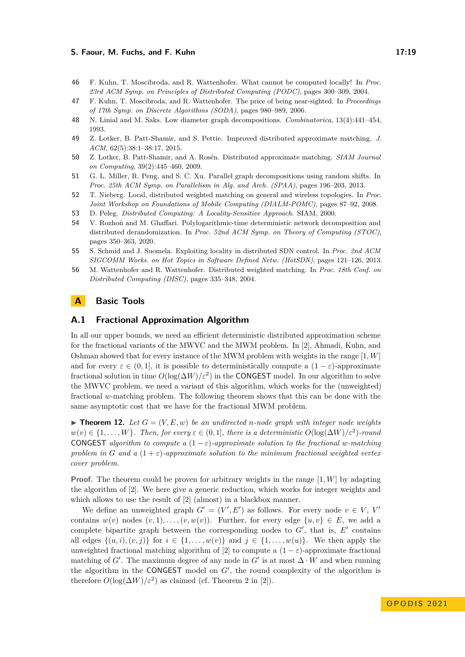#### **S. Faour, M. Fuchs, and F. Kuhn 17:19 17:19**

- <span id="page-18-6"></span>**46** F. Kuhn, T. Moscibroda, and R. Wattenhofer. What cannot be computed locally! In *Proc. 23rd ACM Symp. on Principles of Distributed Computing (PODC)*, pages 300–309, 2004.
- <span id="page-18-0"></span>**47** F. Kuhn, T. Moscibroda, and R. Wattenhofer. The price of being near-sighted. In *Proceedings of 17th Symp. on Discrete Algorithms (SODA)*, pages 980–989, 2006.
- <span id="page-18-10"></span>**48** N. Linial and M. Saks. Low diameter graph decompositions. *Combinatorica*, 13(4):441–454, 1993.
- <span id="page-18-1"></span>**49** Z. Lotker, B. Patt-Shamir, and S. Pettie. Improved distributed approximate matching. *J. ACM*, 62(5):38:1–38:17, 2015.
- <span id="page-18-2"></span>**50** Z. Lotker, B. Patt-Shamir, and A. Rosén. Distributed approximate matching. *SIAM Journal on Computing*, 39(2):445–460, 2009.
- <span id="page-18-11"></span>**51** G. L. Miller, R. Peng, and S. C. Xu. Parallel graph decompositions using random shifts. In *Proc. 25th ACM Symp. on Parallelism in Alg. and Arch. (SPAA)*, pages 196–203, 2013.
- <span id="page-18-3"></span>**52** T. Nieberg. Local, distributed weighted matching on general and wireless topologies. In *Proc. Joint Workshop on Foundations of Mobile Computing (DIALM-POMC)*, pages 87–92, 2008.
- <span id="page-18-5"></span>**53** D. Peleg. *Distributed Computing: A Locality-Sensitive Approach*. SIAM, 2000.
- <span id="page-18-7"></span>**54** V. Rozhoň and M. Ghaffari. Polylogarithmic-time deterministic network decomposition and distributed derandomization. In *Proc. 52nd ACM Symp. on Theory of Computing (STOC)*, pages 350–363, 2020.
- <span id="page-18-9"></span>**55** S. Schmid and J. Suomela. Exploiting locality in distributed SDN control. In *Proc. 2nd ACM SIGCOMM Works. on Hot Topics in Software Defined Netw. (HotSDN)*, pages 121–126, 2013.
- <span id="page-18-4"></span>**56** M. Wattenhofer and R. Wattenhofer. Distributed weighted matching. In *Proc. 18th Conf. on Distributed Computing (DISC)*, pages 335–348, 2004.

# <span id="page-18-8"></span>**A Basic Tools**

## **A.1 Fractional Approximation Algorithm**

In all our upper bounds, we need an efficient deterministic distributed approximation scheme for the fractional variants of the MWVC and the MWM problem. In [\[2\]](#page-16-11), Ahmadi, Kuhn, and Oshman showed that for every instance of the MWM problem with weights in the range [1*, W*] and for every  $\varepsilon \in (0,1]$ , it is possible to deterministically compute a  $(1-\varepsilon)$ -approximate fractional solution in time  $O(\log(\Delta W)/\varepsilon^2)$  in the CONGEST model. In our algorithm to solve the MWVC problem, we need a variant of this algorithm, which works for the (unweighted) fractional *w*-matching problem. The following theorem shows that this can be done with the same asymptotic cost that we have for the fractional MWM problem.

<span id="page-18-12"></span> $\blacktriangleright$  **Theorem 12.** Let  $G = (V, E, w)$  be an undirected *n*-node graph with integer node weights  $w(v) \in \{1, \ldots, W\}$ *. Then, for every*  $\varepsilon \in (0, 1]$ *, there is a deterministic*  $O(\log(\Delta W)/\varepsilon^2)$ *-round* CONGEST *algorithm to compute a*  $(1 - \varepsilon)$ *-approximate solution to the fractional w-matching problem in G* and a  $(1+\varepsilon)$ -approximate solution to the minimum fractional weighted vertex *cover problem.*

**Proof.** The theorem could be proven for arbitrary weights in the range [1, W] by adapting the algorithm of [\[2\]](#page-16-11). We here give a generic reduction, which works for integer weights and which allows to use the result of  $[2]$  (almost) in a blackbox manner.

We define an unweighted graph  $G' = (V', E')$  as follows. For every node  $v \in V$ ,  $V'$ contains  $w(v)$  nodes  $(v, 1), \ldots, (v, w(v))$ . Further, for every edge  $\{u, v\} \in E$ , we add a complete bipartite graph between the corresponding nodes to  $G'$ , that is,  $E'$  contains all edges  $\{(u, i), (v, j)\}\$ for  $i \in \{1, \ldots, w(v)\}\$  and  $j \in \{1, \ldots, w(u)\}\$ . We then apply the unweighted fractional matching algorithm of [\[2\]](#page-16-11) to compute a  $(1 - \varepsilon)$ -approximate fractional matching of *G'*. The maximum degree of any node in  $G'$  is at most  $\Delta \cdot W$  and when running the algorithm in the CONGEST model on *G*′ , the round complexity of the algorithm is therefore  $O(\log(\Delta W)/\varepsilon^2)$  as claimed (cf. Theorem 2 in [\[2\]](#page-16-11)).